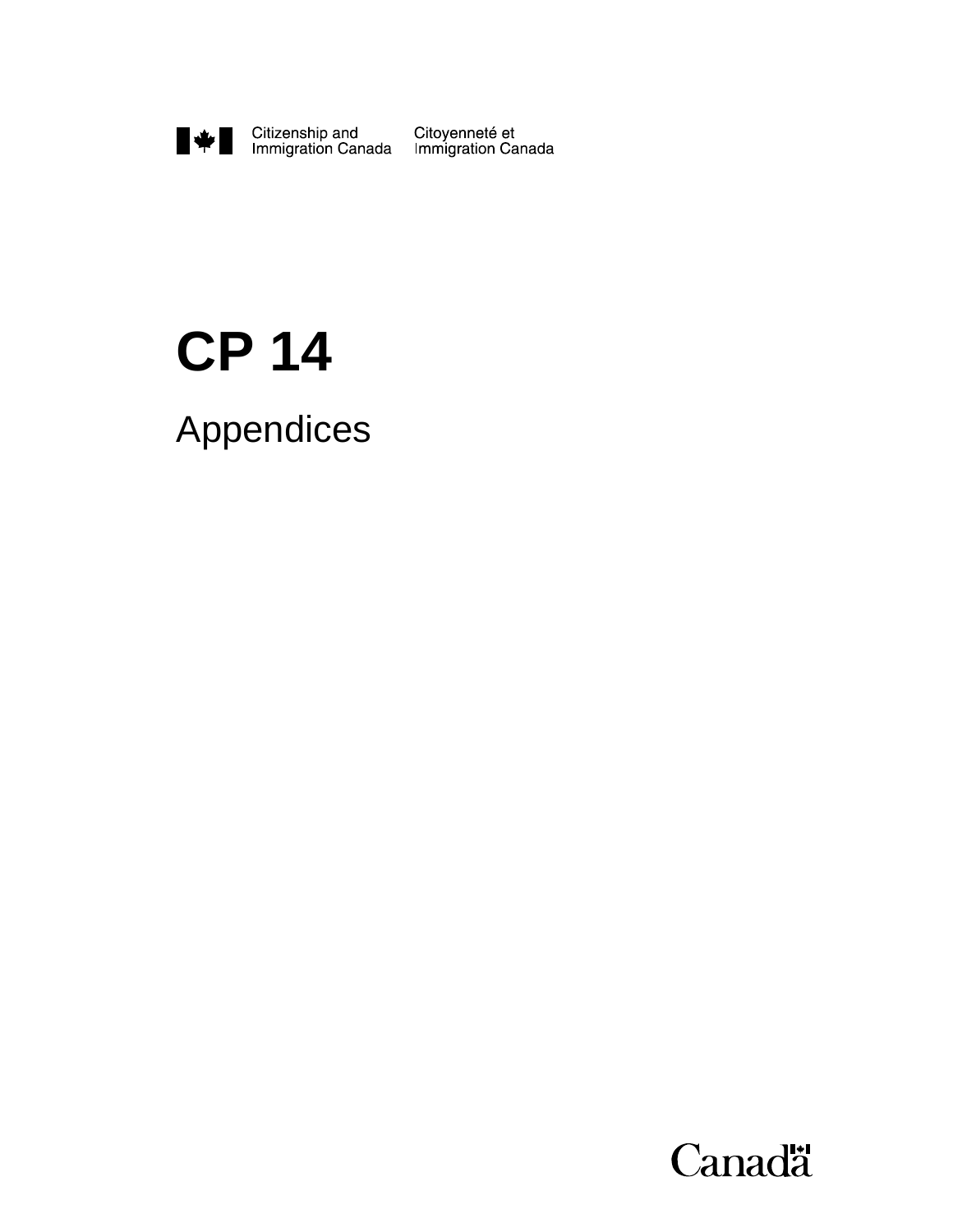

## **CP 14**

Appendices

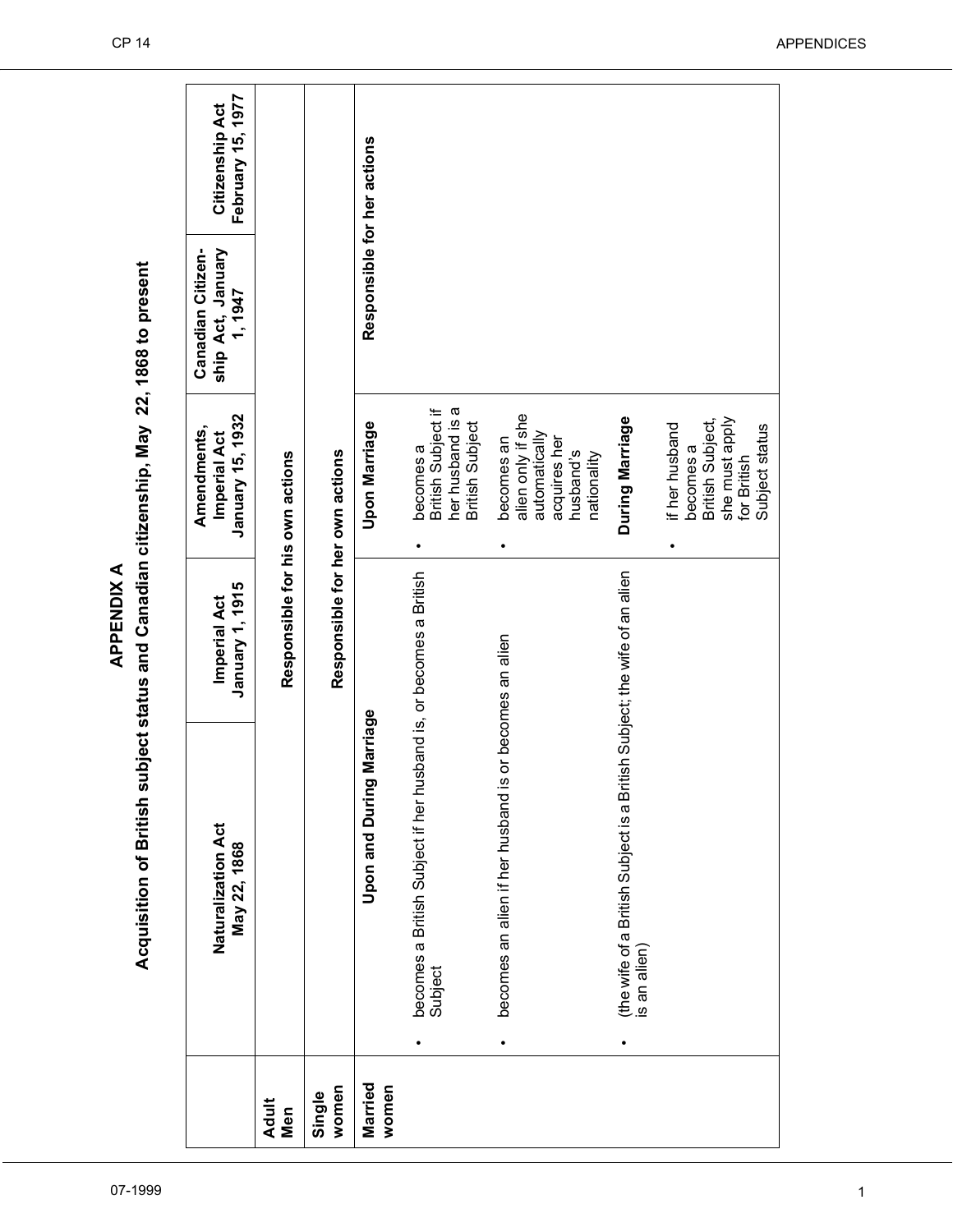|                     | Acquisition of British su                                                                 | bject status and Canadian citizenship, May 22, 1868 to present |                                                                                                    |                                                   |                                      |
|---------------------|-------------------------------------------------------------------------------------------|----------------------------------------------------------------|----------------------------------------------------------------------------------------------------|---------------------------------------------------|--------------------------------------|
|                     | Naturalization Act<br>May 22, 1868                                                        | January 1, 1915<br>Imperial Act                                | January 15, 1932<br>Amendments,<br>Imperial Act                                                    | ship Act, January<br>Canadian Citizen-<br>1, 1947 | February 15, 1977<br>Citizenship Act |
| <b>Adult</b><br>Men |                                                                                           | Responsible for his own actions                                |                                                                                                    |                                                   |                                      |
| women<br>Single     |                                                                                           | Responsible for her own actions                                |                                                                                                    |                                                   |                                      |
| Married<br>women    | Marriage<br>Upon and During                                                               |                                                                | <b>Upon Marriage</b>                                                                               | Responsible for her actions                       |                                      |
|                     | becomes a British Subject if her husband is, or becomes a British<br>Subject              |                                                                | her husband is a<br>British Subject if<br><b>British Subject</b><br>becomes a<br>٠                 |                                                   |                                      |
|                     | becomes an alien if her husband is                                                        | or becomes an alien                                            | alien only if she<br>automatically<br>becomes an<br>acquires her<br>husband's<br>nationality       |                                                   |                                      |
|                     | (the wife of a British Subject is a British Subject; the wife of an alien<br>is an alien) |                                                                | During Marriage                                                                                    |                                                   |                                      |
|                     |                                                                                           |                                                                | she must apply<br>for British<br>British Subject,<br>if her husband<br>Subject status<br>becomes a |                                                   |                                      |

**APPENDIX A**

**APPENDIX A**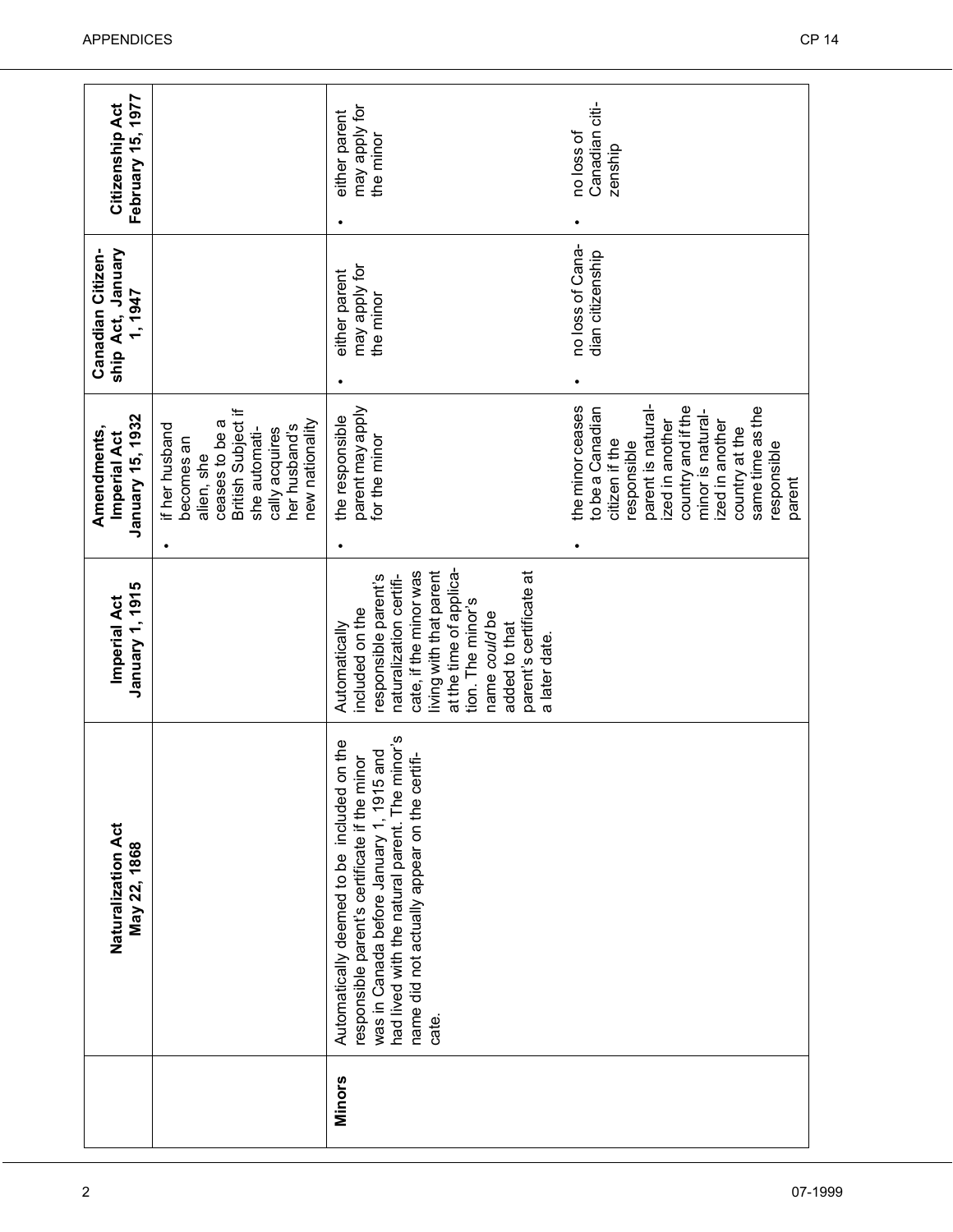| Naturalization Act<br>May 22, 1868                                                                                                                                                                                                                    | January 1, 1915<br><b>Imperial Act</b>                                                                                                                                                                                                                                 | January 15, 1932<br>Amendments,<br>Imperial Act                                                                                                                                                                                            | Canadian Citizen-<br>ship Act, January<br>1, 1947 | February 15, 1977<br>Citizenship Act        |
|-------------------------------------------------------------------------------------------------------------------------------------------------------------------------------------------------------------------------------------------------------|------------------------------------------------------------------------------------------------------------------------------------------------------------------------------------------------------------------------------------------------------------------------|--------------------------------------------------------------------------------------------------------------------------------------------------------------------------------------------------------------------------------------------|---------------------------------------------------|---------------------------------------------|
|                                                                                                                                                                                                                                                       |                                                                                                                                                                                                                                                                        | British Subject if<br>new nationality<br>ceases to be a<br>her husband's<br>if her husband<br>she automati-<br>cally acquires<br>becomes an<br>alien, she                                                                                  |                                                   |                                             |
| had lived with the natural parent. The minor's<br>Automatically deemed to be included on the<br>and<br>responsible parent's certificate if the minor<br>name did not actually appear on the certifi-<br>was in Canada before January 1, 1915<br>cate. | at the time of applica-<br>living with that parent<br>parent's certificate at<br>cate, if the minor was<br>naturalization certifi-<br>responsible parent's<br>tion. The minor's<br>included on the<br>name could be<br>Automatically<br>added to that<br>a later date. | parent may apply<br>the responsible<br>for the minor                                                                                                                                                                                       | may apply for<br>either parent<br>the minor       | may apply for<br>either parent<br>the minor |
|                                                                                                                                                                                                                                                       |                                                                                                                                                                                                                                                                        | parent is natural-<br>same time as the<br>the minor ceases<br>country and if the<br>to be a Canadian<br>minor is natural-<br>ized in another<br>zed in another<br>country at the<br>citizen if the<br>responsible<br>responsible<br>parent | no loss of Cana-<br>dian citizenship              | Canadian citi-<br>no loss of<br>zenship     |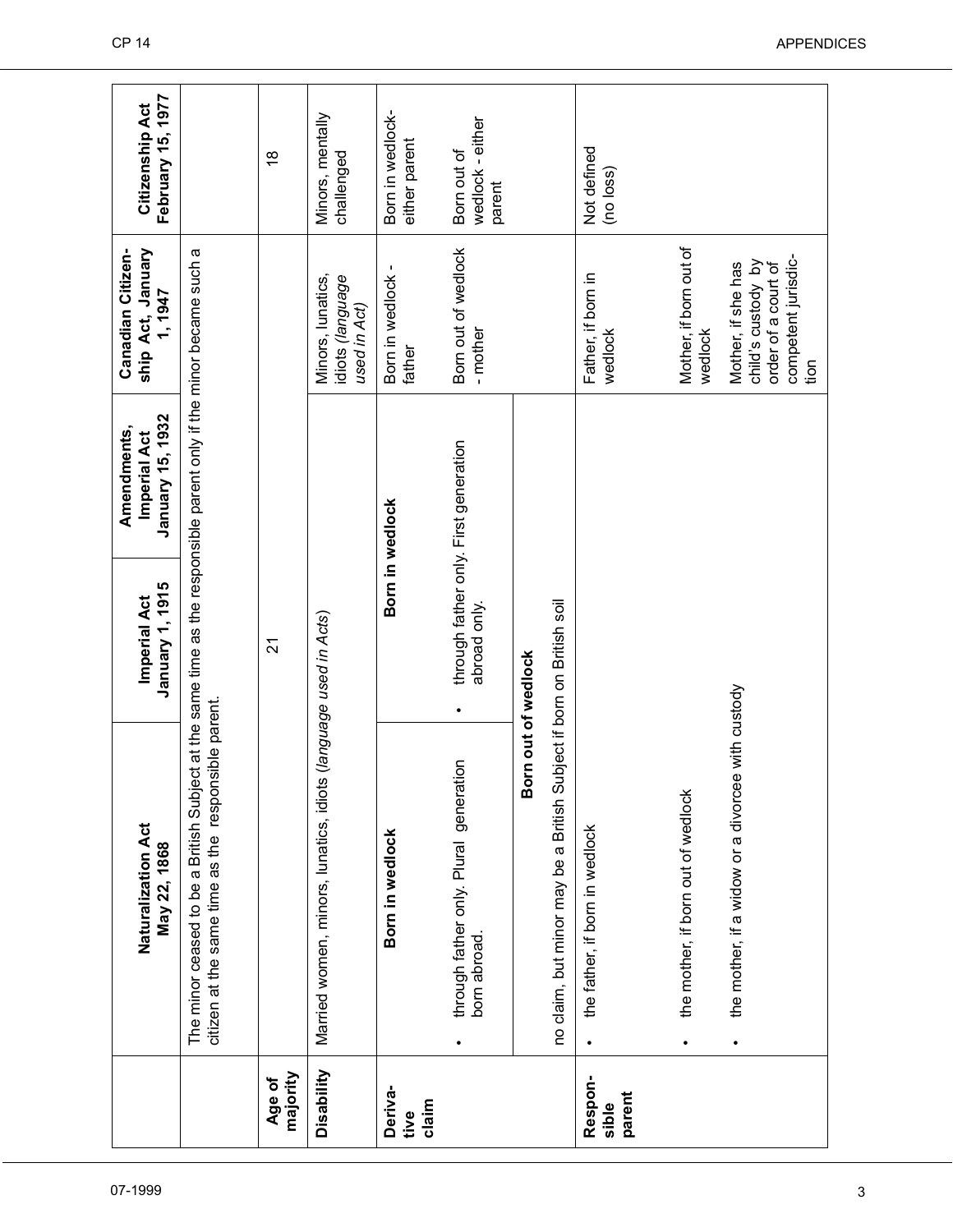|                            | Naturalization Act<br>May 22, 1868                                                                                                                                              | January 1, 1915<br>Imperial Act                       | January 15, 1932<br>Amendments,<br>Imperial Act | ship Act, January<br>Canadian Citizen-<br>1, 1947                                              | February 15, 1977<br>Citizenship Act      |
|----------------------------|---------------------------------------------------------------------------------------------------------------------------------------------------------------------------------|-------------------------------------------------------|-------------------------------------------------|------------------------------------------------------------------------------------------------|-------------------------------------------|
|                            | The minor ceased to be a British Subject at the same time as the responsible parent only if the minor became such a<br>isible parent.<br>citizen at the same time as the respon |                                                       |                                                 |                                                                                                |                                           |
| majority<br>Age of         |                                                                                                                                                                                 | $\overline{2}$                                        |                                                 |                                                                                                | $\frac{8}{1}$                             |
| Disability                 | Married women, minors, lunatics, idiots (language used in Acts)                                                                                                                 |                                                       |                                                 | Minors, lunatics,<br>idiots (language<br>used in Act)                                          | Minors, mentally<br>challenged            |
| Deriva-<br>claim<br>tive   | Born in wedlock                                                                                                                                                                 | Born in wedlock                                       |                                                 | Born in wedlock -<br>father                                                                    | Born in wedlock-<br>either parent         |
|                            | through father only. Plural generation<br>born abroad.<br>$\bullet$                                                                                                             | through father only. First generation<br>abroad only. |                                                 | Born out of wedlock<br>- mother                                                                | wedlock - either<br>Born out of<br>parent |
|                            |                                                                                                                                                                                 | Born out of wedlock                                   |                                                 |                                                                                                |                                           |
|                            | no claim, but minor may be a British Subject if born on British soil                                                                                                            |                                                       |                                                 |                                                                                                |                                           |
| Respon-<br>parent<br>sible | the father, if born in wedlock<br>$\bullet$                                                                                                                                     |                                                       |                                                 | Father, if born in<br>wedlock                                                                  | Not defined<br>(no loss)                  |
|                            | the mother, if born out of wedlock<br>$\bullet$                                                                                                                                 |                                                       |                                                 | Mother, if born out of<br>wedlock                                                              |                                           |
|                            | the mother, if a widow or a divorcee with custody<br>$\bullet$                                                                                                                  |                                                       |                                                 | competent jurisdic-<br>child's custody by<br>Mother, if she has<br>order of a court of<br>tion |                                           |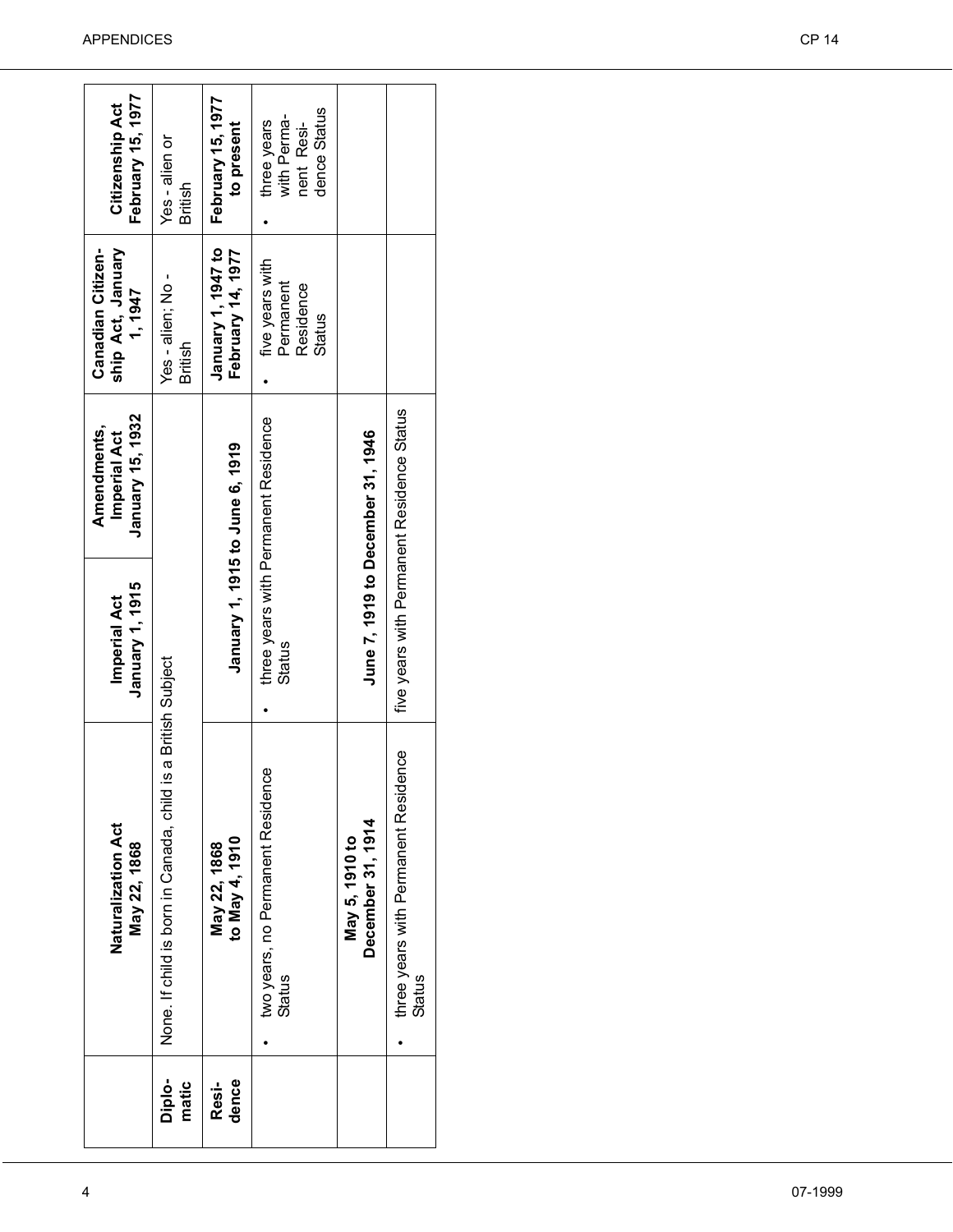|                 | Naturalization Act<br>May 22, 1868                    | January 1, 1915<br>Imperial Act            | January 15, 1932<br>Amendments,<br><b>Imperial Act</b> | ship Act, January<br>Canadian Citizen-<br>1, 1947          | February 15, 1977<br>Citizenship Act                        |
|-----------------|-------------------------------------------------------|--------------------------------------------|--------------------------------------------------------|------------------------------------------------------------|-------------------------------------------------------------|
| Diplo-<br>matic | None. If child is born in Canada, child               | is a British Subject                       |                                                        | Yes - alien; No -<br>British                               | Yes - alien or<br>British                                   |
| dence<br>Resi-  | to May 4, 1910<br>May 22, 1868                        | January 1, 1915 to June 6, 1919            |                                                        | January 1, 1947 to<br>February 14, 1977                    | February 15, 1977<br>to present                             |
|                 | two years, no Permanent Residence<br><b>Status</b>    | <b>Status</b>                              | three years with Permanent Residence                   | five years with<br>Permanent<br>Residence<br><b>Status</b> | dence Status<br>with Perma-<br>three years<br>nent<br>Resi- |
|                 | December 31, 1914<br>May 5, 1910 to                   |                                            | June 7, 1919 to December 31, 1946                      |                                                            |                                                             |
|                 | three years with Permanent Residence<br><b>Status</b> | five years with Permanent Residence Status |                                                        |                                                            |                                                             |
|                 |                                                       |                                            |                                                        |                                                            |                                                             |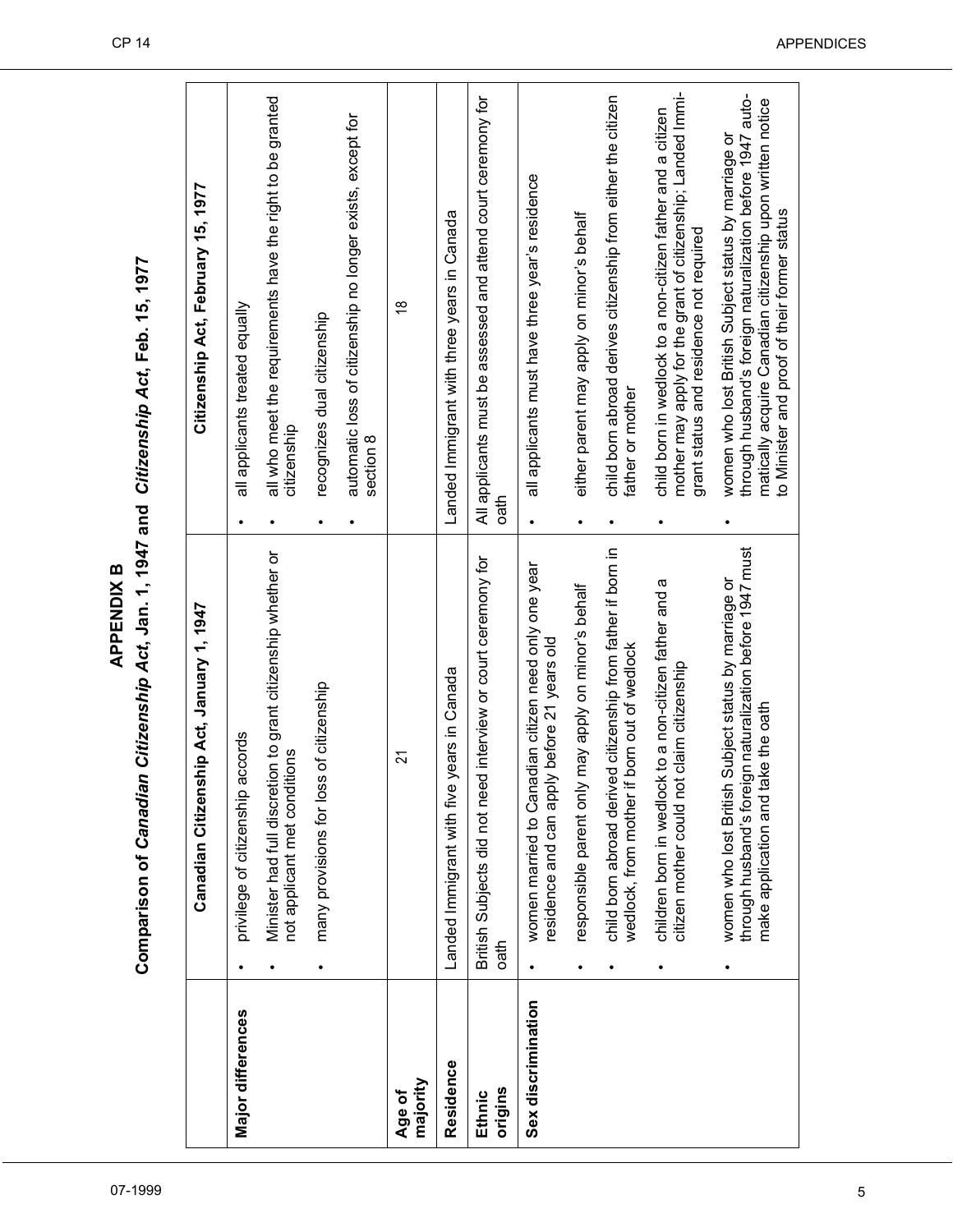|                    | Comparison of Canadian Citizenship Act, Jan. 1, 1947 and Citizenship Act, Feb. 15, 1977<br><b>APPENDIXB</b><br>Canadian Citizenship Act, January 1, 1947        | Citizenship Act, February 15, 1977                                                                                                                                                                                               |
|--------------------|-----------------------------------------------------------------------------------------------------------------------------------------------------------------|----------------------------------------------------------------------------------------------------------------------------------------------------------------------------------------------------------------------------------|
| Major differences  | Minister had full discretion to grant citizenship whether or<br>accords<br>not applicant met conditions<br>privilege of citizenship<br>$\bullet$                | all who meet the requirements have the right to be granted<br>all applicants treated equally<br>citizenship<br>$\bullet$                                                                                                         |
|                    | interior is of citizenship<br>many provisions for los<br>$\bullet$                                                                                              | automatic loss of citizenship no longer exists, except for<br>recognizes dual citizenship<br>section 8<br>$\bullet$<br>٠                                                                                                         |
| majority<br>Age of | 21                                                                                                                                                              | $\overset{\infty}{\rightarrow}$                                                                                                                                                                                                  |
| Residence          | years in Canada<br>Landed Immigrant with five                                                                                                                   | Landed Immigrant with three years in Canada                                                                                                                                                                                      |
| origins<br>Ethnic  | d interview or court ceremony for<br>British Subjects did not nee<br>oath                                                                                       | All applicants must be assessed and attend court ceremony for<br>oath                                                                                                                                                            |
| Sex discrimination | women married to Canadian citizen need only one year<br>residence and can apply before 21 years old                                                             | all applicants must have three year's residence<br>$\bullet$                                                                                                                                                                     |
|                    | responsible parent only may apply on minor's behalf<br>$\bullet$                                                                                                | either parent may apply on minor's behalf<br>$\bullet$                                                                                                                                                                           |
|                    | child born abroad derived citizenship from father if born in<br>wedlock, from mother if born out of wedlock                                                     | child born abroad derives citizenship from either the citizen<br>father or mother<br>$\bullet$                                                                                                                                   |
|                    | children born in wedlock to a non-citizen father and a<br>citizen mother could not claim citizenship                                                            | mother may apply for the grant of citizenship; Landed Immi-<br>child born in wedlock to a non-citizen father and a citizen<br>grant status and residence not required                                                            |
|                    | through husband's foreign naturalization before 1947 must<br>Subject status by marriage or<br>make application and take the oath<br>women who lost British<br>٠ | through husband's foreign naturalization before 1947 auto-<br>matically acquire Canadian citizenship upon written notice<br>women who lost British Subject status by marriage or<br>to Minister and proof of their former status |

07-1999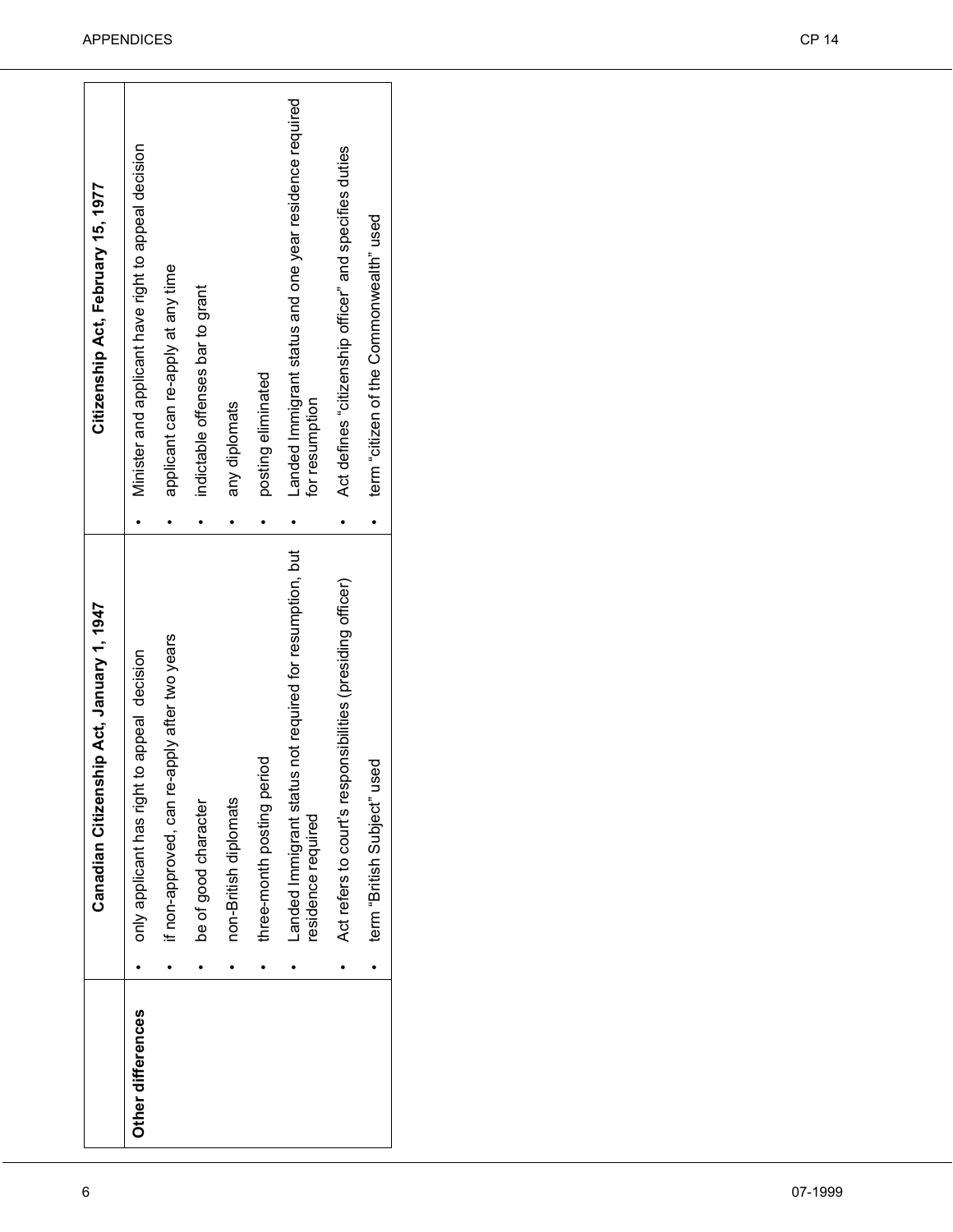| applicant can re-apply at any time<br>indictable offenses bar to grant<br>posting eliminated<br>for resumption<br>any diplomats<br>Landed Immigrant status not required for resumption, but<br>Act refers to court's responsibilities (presiding officer)<br>if non-approved, can re-apply after two years<br>only applicant has right to appeal decision<br>three-month posting period<br>non-British diplomats<br>be of good character<br>residence required<br>Other differences |  | Canadian Citizenship Act, January 1, 1947 | Citizenship Act, February 15, 1977                      |
|-------------------------------------------------------------------------------------------------------------------------------------------------------------------------------------------------------------------------------------------------------------------------------------------------------------------------------------------------------------------------------------------------------------------------------------------------------------------------------------|--|-------------------------------------------|---------------------------------------------------------|
|                                                                                                                                                                                                                                                                                                                                                                                                                                                                                     |  |                                           | Minister and applicant have right to appeal decision    |
|                                                                                                                                                                                                                                                                                                                                                                                                                                                                                     |  |                                           |                                                         |
|                                                                                                                                                                                                                                                                                                                                                                                                                                                                                     |  |                                           |                                                         |
|                                                                                                                                                                                                                                                                                                                                                                                                                                                                                     |  |                                           |                                                         |
|                                                                                                                                                                                                                                                                                                                                                                                                                                                                                     |  |                                           |                                                         |
|                                                                                                                                                                                                                                                                                                                                                                                                                                                                                     |  |                                           | Landed Immigrant status and one year residence required |
|                                                                                                                                                                                                                                                                                                                                                                                                                                                                                     |  |                                           | Act defines "citizenship officer" and specifies duties  |
|                                                                                                                                                                                                                                                                                                                                                                                                                                                                                     |  | term "British Subject" used               | term "citizen of the Commonwealth" used                 |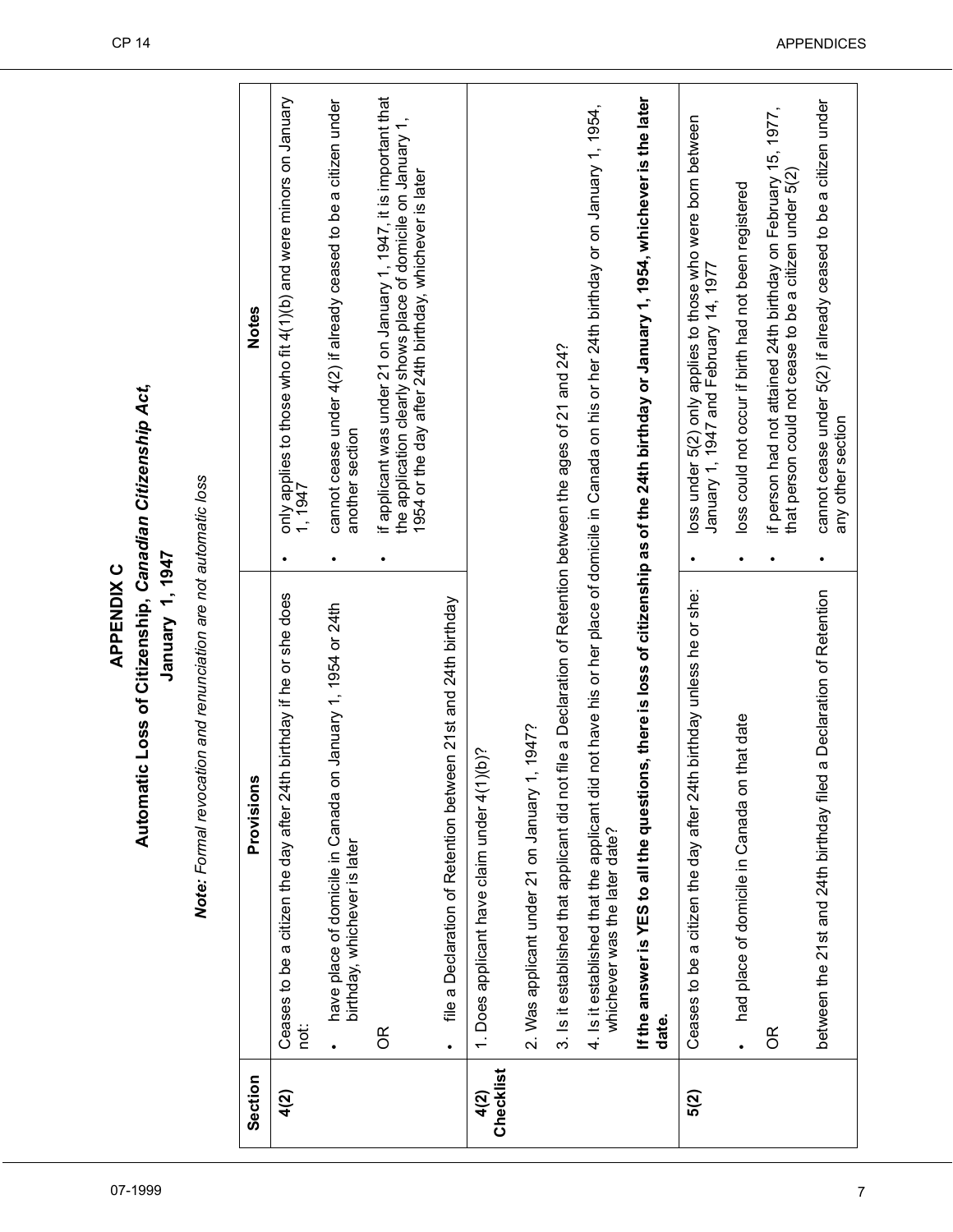## Automatic Loss of Citizenship, Canadian Citizenship Act, **Automatic Loss of Citizenship,** *Canadian Citizenship Act***,**  January 1, 1947 **January 1, 1947 APPENDIX C APPENDIX C**

Note: Formal revocation and renunciation are not automatic loss *Note: Formal revocation and renunciation are not automatic loss*

| Section           | Provisions                                                                                                    |   | Notes                                                                                                                                                                                          |
|-------------------|---------------------------------------------------------------------------------------------------------------|---|------------------------------------------------------------------------------------------------------------------------------------------------------------------------------------------------|
| 4(2)              | Ceases to be a citizen the day after 24th birthday if he or she does<br>not:                                  |   | only applies to those who fit 4(1)(b) and were minors on January<br>1, 1947                                                                                                                    |
|                   | January 1, 1954 or 24th<br>have place of domicile in Canada or<br>birthday, whichever is later                |   | cannot cease under 4(2) if already ceased to be a citizen under<br>another section                                                                                                             |
|                   | $\infty$                                                                                                      |   | if applicant was under 21 on January 1, 1947, it is important that<br>the application clearly shows place of domicile on January 1,<br>1954 or the day after 24th birthday, whichever is later |
|                   | file a Declaration of Retention between 21st and 24th birthday                                                |   |                                                                                                                                                                                                |
| Checklist<br>4(2) | 1. Does applicant have claim under 4(1)(b)?                                                                   |   |                                                                                                                                                                                                |
|                   | 2. Was applicant under 21 on January 1, 1947?                                                                 |   |                                                                                                                                                                                                |
|                   | file a Declaration of Retention between the ages of 21 and 24?<br>3. Is it established that applicant did not |   |                                                                                                                                                                                                |
|                   | 4. Is it established that the applicant did<br>whichever was the later date?                                  |   | not have his or her place of domicile in Canada on his or her 24th birthday or on January 1, 1954,                                                                                             |
|                   | If the answer is YES to all the question<br>date.                                                             |   | is, there is loss of citizenship as of the 24th birthday or January 1, 1954, whichever is the later                                                                                            |
| 5(2)              | Ceases to be a citizen the day after 24th birthday unless he or she:                                          |   | loss under 5(2) only applies to those who were born between<br>January 1, 1947 and February 14, 1977                                                                                           |
|                   | that date<br>had place of domicile in Canada on                                                               |   | loss could not occur if birth had not been registered                                                                                                                                          |
|                   | $\infty$                                                                                                      |   | if person had not attained 24th birthday on February 15, 1977,<br>that person could not cease to be a citizen under 5(2)                                                                       |
|                   | a Declaration of Retention<br>between the 21st and 24th birthday filed                                        | ٠ | cannot cease under 5(2) if already ceased to be a citizen under<br>any other section                                                                                                           |
|                   |                                                                                                               |   |                                                                                                                                                                                                |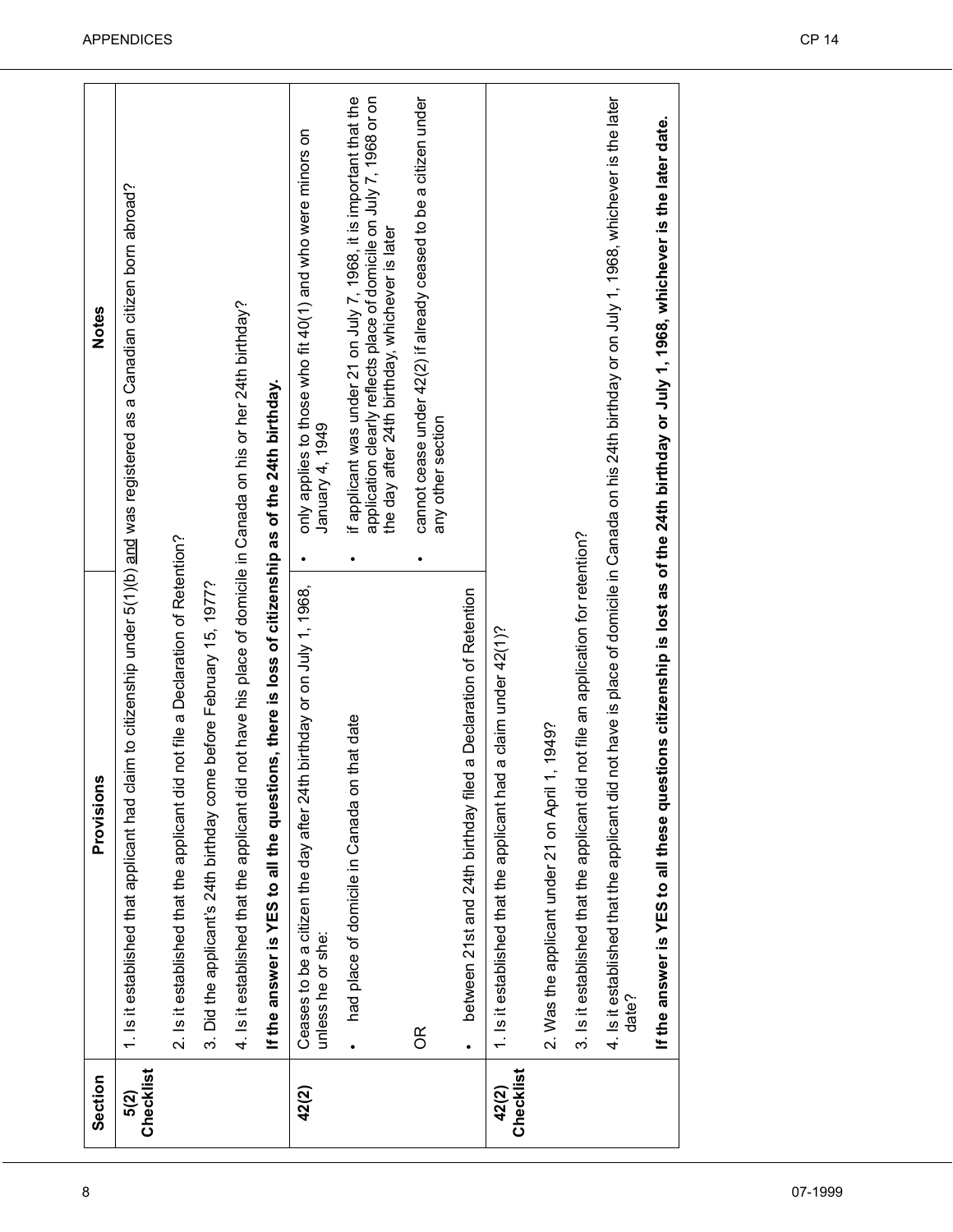| Section            | n<br>Provision                                                                                                                                               | Notes                                                                                                                                                                                                       |
|--------------------|--------------------------------------------------------------------------------------------------------------------------------------------------------------|-------------------------------------------------------------------------------------------------------------------------------------------------------------------------------------------------------------|
| Checklist<br>5(2)  | 1. Is it established that applicant had claim to citizenship under 5(1)(b) and was registered as a Canadian citizen born abroad?                             |                                                                                                                                                                                                             |
|                    | 2. Is it established that the applicant did not file a Declaration of Retention?                                                                             |                                                                                                                                                                                                             |
|                    | 3. Did the applicant's 24th birthday come before February 15, 1977?                                                                                          |                                                                                                                                                                                                             |
|                    | 4. Is it established that the applicant did not have his place of domicile in Canada on his or her 24th birthday?                                            |                                                                                                                                                                                                             |
|                    | If the answer is YES to all the questions, there is loss of citizenship as of the 24th birthday.                                                             |                                                                                                                                                                                                             |
| 42(2)              | th birthday or on July 1, 1968,<br>Ceases to be a citizen the day after 24<br>unless he or she:                                                              | only applies to those who fit 40(1) and who were minors on<br>January 4, 1949<br>$\bullet$                                                                                                                  |
|                    | had place of domicile in Canada on that date                                                                                                                 | if applicant was under 21 on July 7, 1968, it is important that the<br>application clearly reflects place of domicile on July 7, 1968 or on<br>the day after 24th birthday, whichever is later<br>$\bullet$ |
|                    | $\frac{R}{C}$                                                                                                                                                | cannot cease under 42(2) if already ceased to be a citizen under<br>any other section<br>٠                                                                                                                  |
|                    | between 21st and 24th birthday filed a Declaration of Retention                                                                                              |                                                                                                                                                                                                             |
| Checklist<br>42(2) | 1. Is it established that the applicant had a claim under 42(1)?                                                                                             |                                                                                                                                                                                                             |
|                    | 1, 1949?<br>2. Was the applicant under 21 on April                                                                                                           |                                                                                                                                                                                                             |
|                    | 3. Is it established that the applicant did not file an application for retention?                                                                           |                                                                                                                                                                                                             |
|                    | 4. Is it established that the applicant did not have is place of domicile in Canada on his 24th birthday or on July 1, 1968, whichever is the later<br>date? |                                                                                                                                                                                                             |
|                    | If the answer is YES to all these que                                                                                                                        | stions citizenship is lost as of the 24th birthday or July 1, 1968, whichever is the later date.                                                                                                            |
|                    |                                                                                                                                                              |                                                                                                                                                                                                             |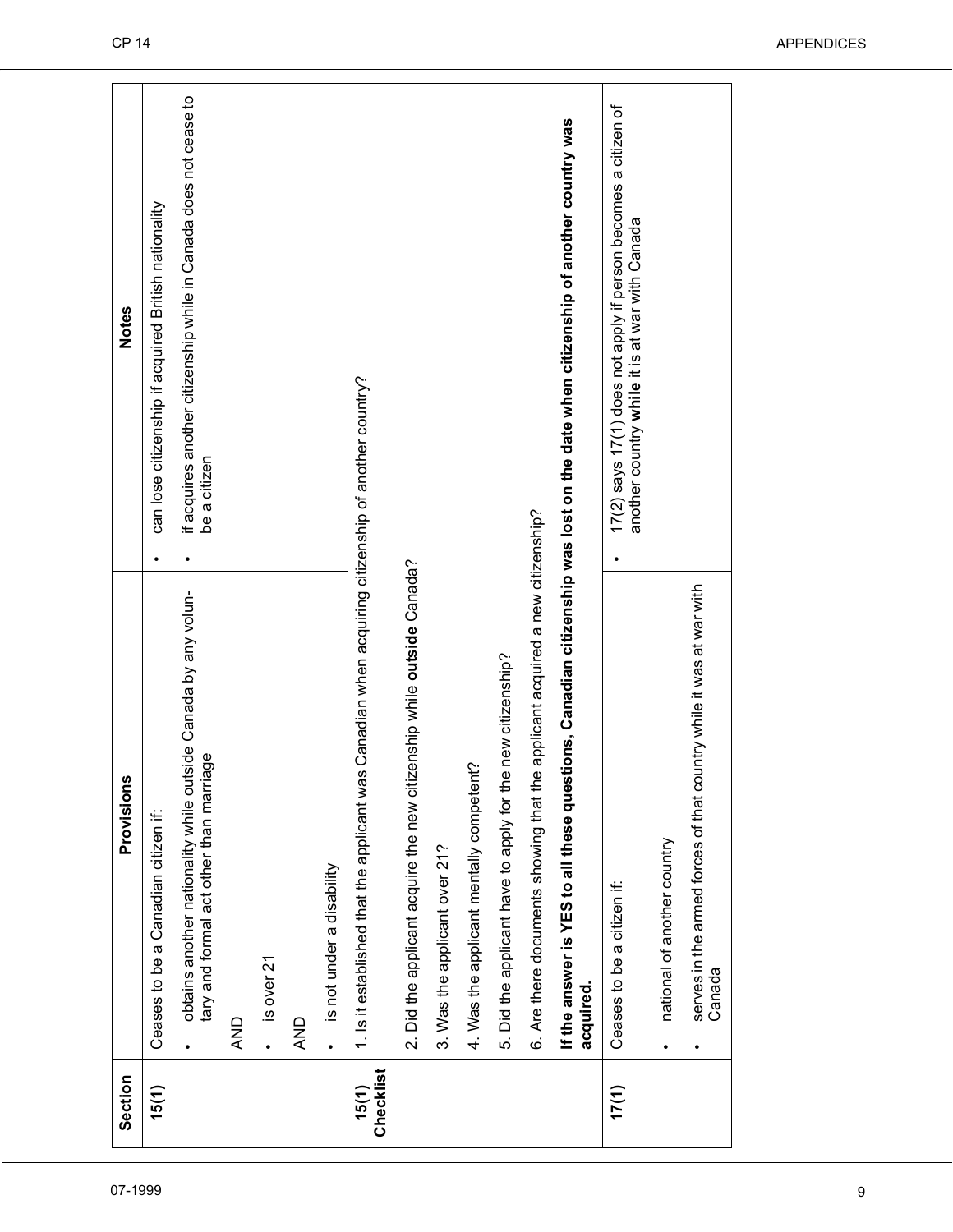| Section            | ဖာ<br>Provision                                                                                                                             | <b>Notes</b>                                                                                                     |
|--------------------|---------------------------------------------------------------------------------------------------------------------------------------------|------------------------------------------------------------------------------------------------------------------|
| 15(1)              | Ceases to be a Canadian citizen if:                                                                                                         | can lose citizenship if acquired British nationality                                                             |
|                    | obtains another nationality while outside Canada by any volun-<br>tary and formal act other than marriage                                   | if acquires another citizenship while in Canada does not cease to<br>be a citizen<br>٠                           |
|                    | <b>AND</b>                                                                                                                                  |                                                                                                                  |
|                    |                                                                                                                                             |                                                                                                                  |
|                    | $\cdot$ is over 21                                                                                                                          |                                                                                                                  |
|                    | <b>AND</b>                                                                                                                                  |                                                                                                                  |
|                    | is not under a disability<br>$\bullet$                                                                                                      |                                                                                                                  |
| Checklist<br>15(1) | 1. Is it established that the applicant was Canadian when acquiring citizenship of another country?                                         |                                                                                                                  |
|                    | 2. Did the applicant acquire the new citizenship while outside Canada?                                                                      |                                                                                                                  |
|                    | 3. Was the applicant over 21?                                                                                                               |                                                                                                                  |
|                    | 4. Was the applicant mentally competent?                                                                                                    |                                                                                                                  |
|                    | 5. Did the applicant have to apply for the new citizenship?                                                                                 |                                                                                                                  |
|                    | 6. Are there documents showing that the applicant acquired a new citizenship?                                                               |                                                                                                                  |
|                    | If the answer is YES to all these questions, Canadian citizenship was lost on the date when citizenship of another country was<br>acquired. |                                                                                                                  |
| 17(1)              | Ceases to be a citizen if:                                                                                                                  | 17(2) says 17(1) does not apply if person becomes a citizen of<br>another country while it is at war with Canada |
|                    | national of another country                                                                                                                 |                                                                                                                  |
|                    | serves in the armed forces of that country while it was at war with<br>Canada                                                               |                                                                                                                  |
|                    |                                                                                                                                             |                                                                                                                  |

ř.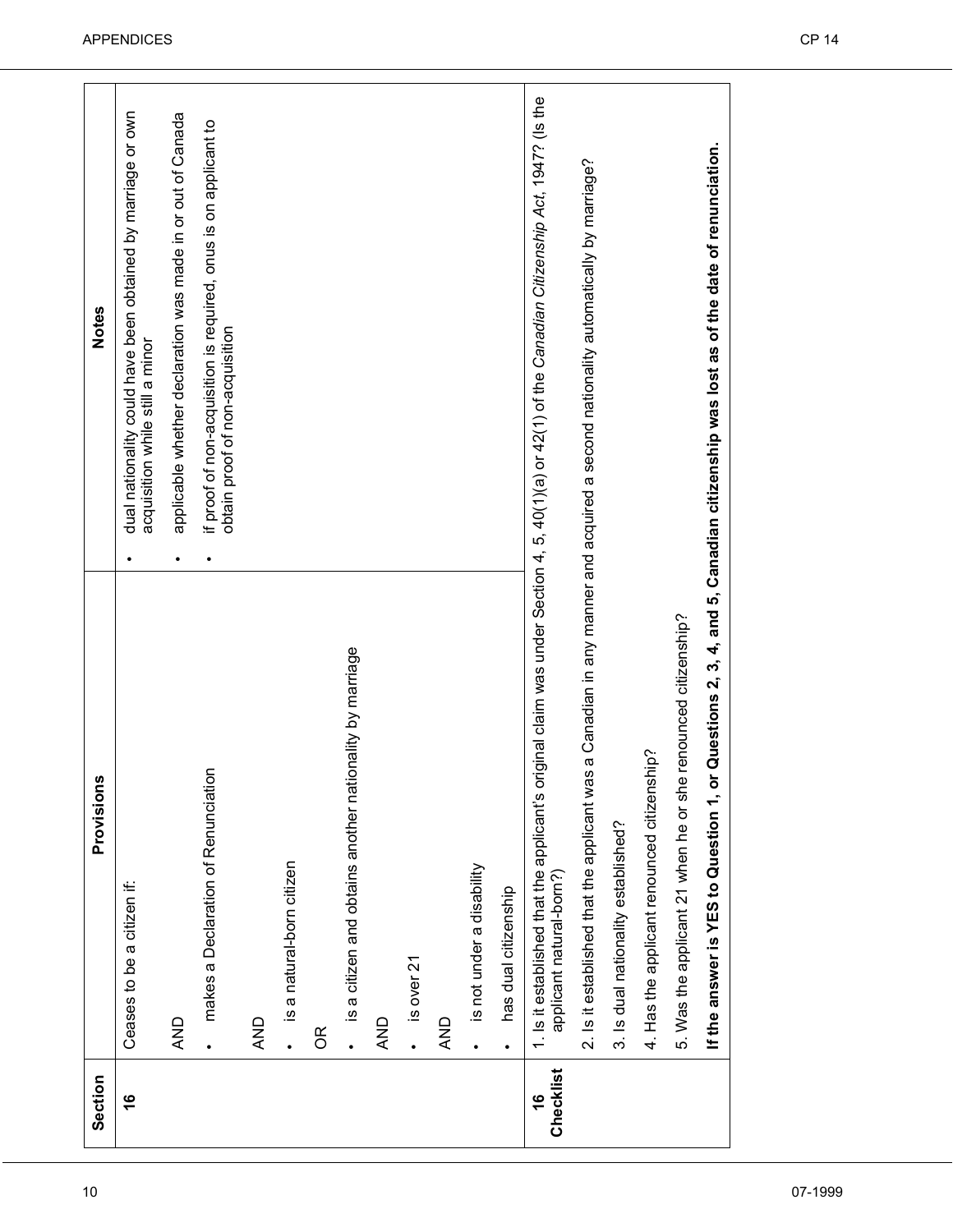| Section                    | Provisions                                                                                                                                                                    |           | <b>Notes</b>                                                                                        |
|----------------------------|-------------------------------------------------------------------------------------------------------------------------------------------------------------------------------|-----------|-----------------------------------------------------------------------------------------------------|
| $\frac{6}{1}$              | Ceases to be a citizen if:                                                                                                                                                    |           | dual nationality could have been obtained by marriage or own<br>acquisition while still a minor     |
|                            | <b>AND</b>                                                                                                                                                                    | $\bullet$ | applicable whether declaration was made in or out of Canada                                         |
|                            | makes a Declaration of Renunciation                                                                                                                                           |           | if proof of non-acquisition is required, onus is on applicant to<br>obtain proof of non-acquisition |
|                            | AND                                                                                                                                                                           |           |                                                                                                     |
|                            | is a natural-born citizen<br>$\ddot{\phantom{0}}$                                                                                                                             |           |                                                                                                     |
|                            | $\frac{R}{C}$                                                                                                                                                                 |           |                                                                                                     |
|                            | is a citizen and obtains another nationality by marriage<br>$\bullet$                                                                                                         |           |                                                                                                     |
|                            | QND                                                                                                                                                                           |           |                                                                                                     |
|                            | is over 21<br>$\ddot{\phantom{0}}$                                                                                                                                            |           |                                                                                                     |
|                            | <b>AND</b>                                                                                                                                                                    |           |                                                                                                     |
|                            | is not under a disability<br>$\bullet$                                                                                                                                        |           |                                                                                                     |
|                            | has dual citizenship<br>$\bullet$                                                                                                                                             |           |                                                                                                     |
| Checklist<br>$\frac{6}{5}$ | 1. Is it established that the applicant's original claim was under Section 4, 5, 40(1)(a) or 42(1) of the Canadian Citizenship Act, 1947? (Is the<br>applicant natural-born?) |           |                                                                                                     |
|                            | 2. Is it established that the applicant was a Canadian in any manner and acquired a second nationality automatically by marriage?                                             |           |                                                                                                     |
|                            | 3. Is dual nationality established?                                                                                                                                           |           |                                                                                                     |
|                            | 4. Has the applicant renounced citizenship?                                                                                                                                   |           |                                                                                                     |
|                            | 5. Was the applicant 21 when he or she renounced citizenship?                                                                                                                 |           |                                                                                                     |
|                            | If the answer is YES to Question 1, or Questions 2, 3, 4, and 5, Canadian citizenship was lost as of the date of renunciation.                                                |           |                                                                                                     |
|                            |                                                                                                                                                                               |           |                                                                                                     |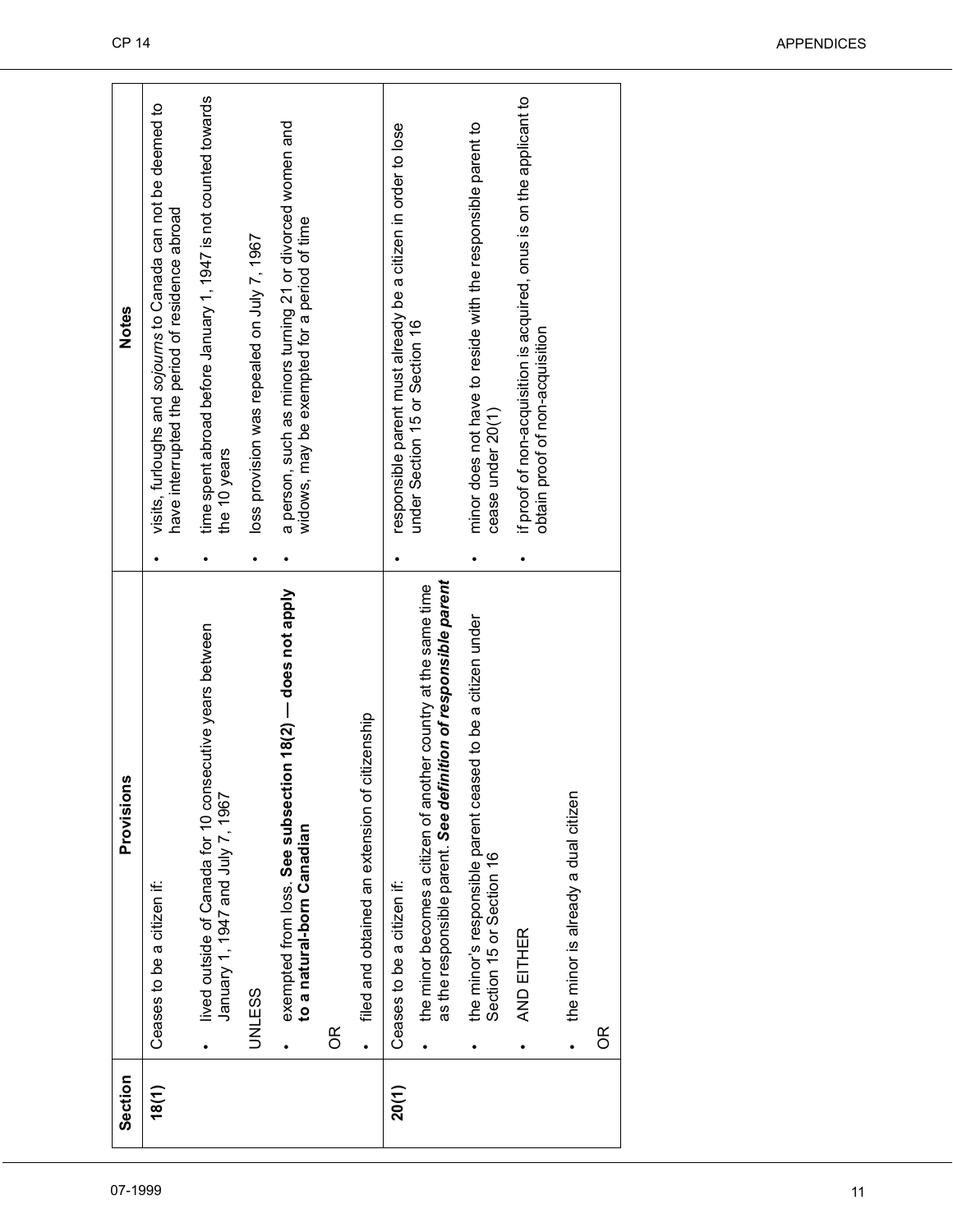| Section | Provisions                                                                                                                                      |           | Notes                                                                                                            |
|---------|-------------------------------------------------------------------------------------------------------------------------------------------------|-----------|------------------------------------------------------------------------------------------------------------------|
| 18(1)   | Ceases to be a citizen if:                                                                                                                      |           | visits, furloughs and sojourns to Canada can not be deemed to<br>have interrupted the period of residence abroad |
|         | lived outside of Canada for 10 consecutive years between<br>January 1, 1947 and July 7, 1967<br>$\bullet$                                       |           | time spent abroad before January 1, 1947 is not counted towards<br>the 10 years                                  |
|         | UNLESS                                                                                                                                          | $\bullet$ | loss provision was repealed on July 7, 1967                                                                      |
|         | exempted from loss. See subsection 18(2) - does not apply<br>to a natural-born Canadian<br>$\bullet$                                            |           | a person, such as minors turning 21 or divorced women and<br>widows, may be exempted for a period of time        |
|         | 6R                                                                                                                                              |           |                                                                                                                  |
|         | filed and obtained an extension of citizenship<br>$\bullet$                                                                                     |           |                                                                                                                  |
| 20(1)   | Ceases to be a citizen if:                                                                                                                      |           | responsible parent must already be a citizen in order to lose                                                    |
|         | as the responsible parent. See definition of responsible parent<br>the minor becomes a citizen of another country at the same time<br>$\bullet$ |           | under Section 15 or Section 16                                                                                   |
|         | the minor's responsible parent ceased to be a citizen under<br>Section 15 or Section 16                                                         |           | minor does not have to reside with the responsible parent to<br>cease under 20(1)                                |
|         | AND EITHER<br>$\bullet$                                                                                                                         |           | if proof of non-acquisition is acquired, onus is on the applicant to<br>obtain proof of non-acquisition          |
|         | the minor is already a dual citizen<br>$\bullet$                                                                                                |           |                                                                                                                  |
|         | $\infty$                                                                                                                                        |           |                                                                                                                  |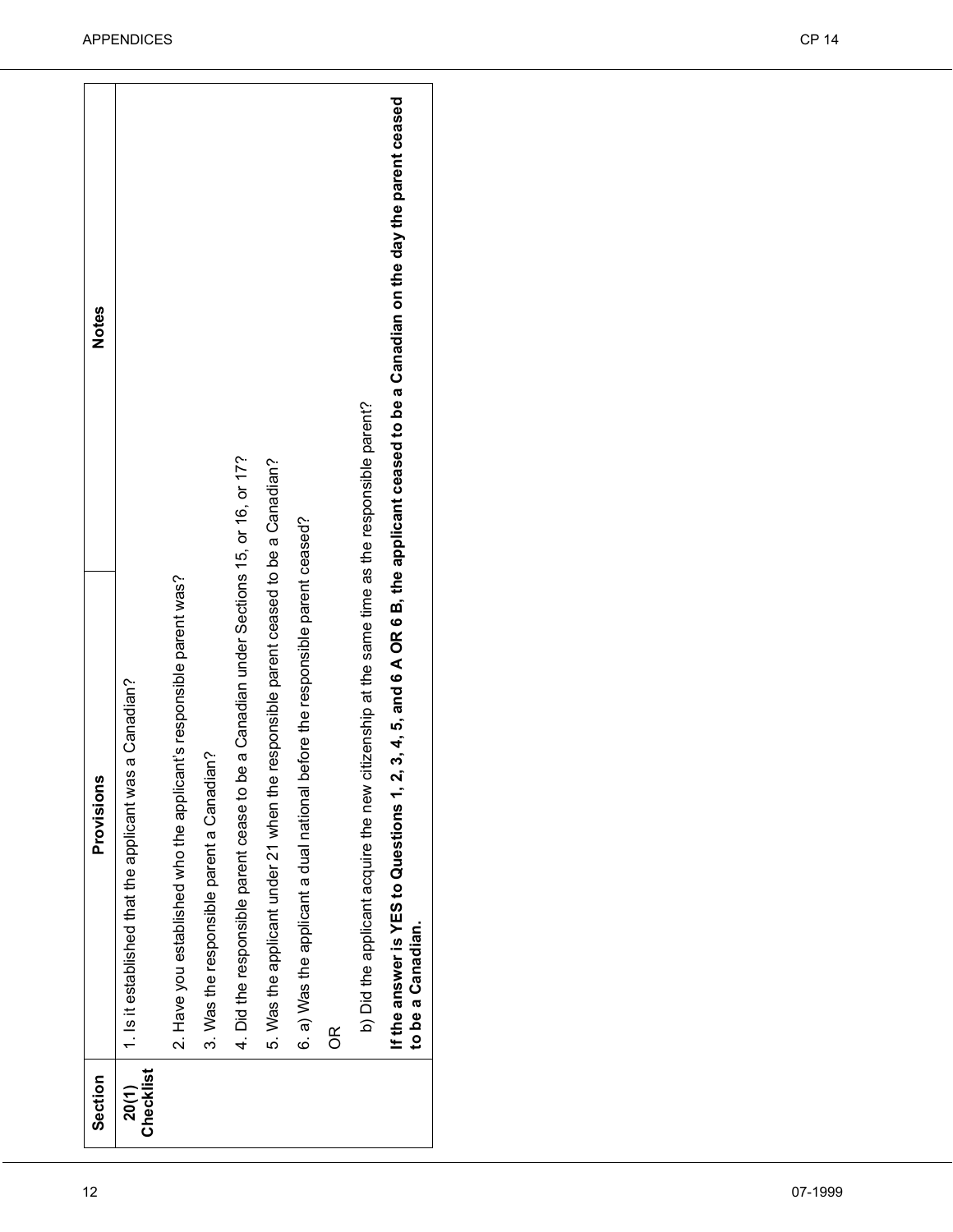| $\frac{R}{C}$<br>Checklist<br>Section<br>20(1) | b) Did the applicant acquire the new citizenship at the same time as the responsible parent?<br>4. Did the responsible parent cease to be a Canadian under Sections 15, or 16, or 17?<br>5. Was the applicant under 21 when the responsible parent ceased to be a Canadian?<br>6. a) Was the applicant a dual national before the responsible parent ceased?<br>2. Have you established who the applicant's responsible parent was?<br>1. Is it established that the applicant was a Canadian?<br>3. Was the responsible parent a Canadian?<br>Provisions<br>If the answer is YES to Questions 1<br>to be a Canadian. | , 2, 3, 4, 5, and 6 A OR 6 B, the applicant ceased to be a Canadian on the day the parent ceased<br><b>Notes</b> |
|------------------------------------------------|-----------------------------------------------------------------------------------------------------------------------------------------------------------------------------------------------------------------------------------------------------------------------------------------------------------------------------------------------------------------------------------------------------------------------------------------------------------------------------------------------------------------------------------------------------------------------------------------------------------------------|------------------------------------------------------------------------------------------------------------------|
|------------------------------------------------|-----------------------------------------------------------------------------------------------------------------------------------------------------------------------------------------------------------------------------------------------------------------------------------------------------------------------------------------------------------------------------------------------------------------------------------------------------------------------------------------------------------------------------------------------------------------------------------------------------------------------|------------------------------------------------------------------------------------------------------------------|

٦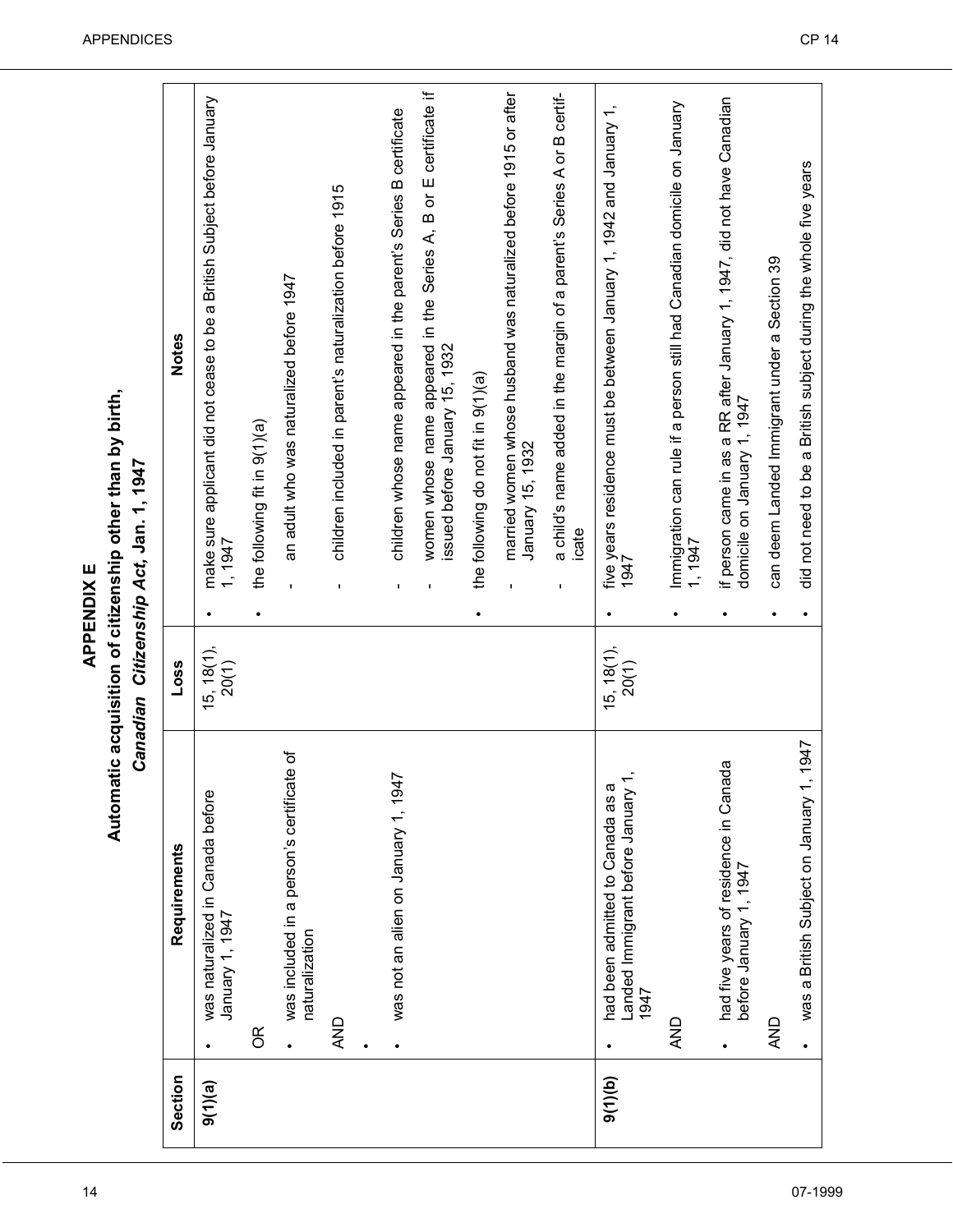Automatic acquisition of citizenship other than by birth, **APPENDIX E Automatic acquisition of citizenship other than by birth,** *Canadian Citizenship Act,* **Jan. 1, 1947**

| .<br>ا |
|--------|
| I      |
| i      |
|        |
| ċ      |
|        |
|        |
|        |
| J      |
|        |
|        |
| į      |
| ï      |
|        |
|        |
| ı      |
|        |
|        |
| z      |
|        |
|        |

| Section | Requirements                                                                      | Loss                     | <b>Notes</b>                                                                                          |  |
|---------|-----------------------------------------------------------------------------------|--------------------------|-------------------------------------------------------------------------------------------------------|--|
| 9(1)(a) | was naturalized in Canada before<br>January 1, 1947                               | $15, 18(1),$<br>$20(1)$  | make sure applicant did not cease to be a British Subject before January<br>1947                      |  |
|         | g                                                                                 |                          | the following fit in 9(1)(a)                                                                          |  |
|         | ৳<br>was included in a person's certificate<br>naturalization                     |                          | an adult who was naturalized before 1947                                                              |  |
|         | AND                                                                               |                          | children included in parent's naturalization before 1915<br>$\blacksquare$                            |  |
|         | was not an alien on January 1, 1947                                               |                          | children whose name appeared in the parent's Series B certificate<br>I.                               |  |
|         |                                                                                   |                          | women whose name appeared in the Series A, B or E certificate if<br>issued before January 15, 1932    |  |
|         |                                                                                   |                          | the following do not fit in 9(1)(a)                                                                   |  |
|         |                                                                                   |                          | married women whose husband was naturalized before 1915 or after<br>January 15, 1932                  |  |
|         |                                                                                   |                          | a child's name added in the margin of a parent's Series A or B certif-<br>icate<br>$\mathbf I$        |  |
| 9(1)(b) | Landed Immigrant before January 1,<br>ᢐ<br>had been admitted to Canada as<br>1947 | $(15, 18(1),$<br>$20(1)$ | five years residence must be between January 1, 1942 and January 1,<br>1947                           |  |
|         | AND                                                                               |                          | Immigration can rule if a person still had Canadian domicile on January<br>$-1947$                    |  |
|         | had five years of residence in Canada<br>before January 1, 1947                   |                          | if person came in as a RR after January 1, 1947, did not have Canadian<br>domicile on January 1, 1947 |  |
|         | <b>AND</b>                                                                        |                          | can deem Landed Immigrant under a Section 39                                                          |  |
|         | was a British Subject on January 1, 1947                                          |                          | did not need to be a British subject during the whole five years                                      |  |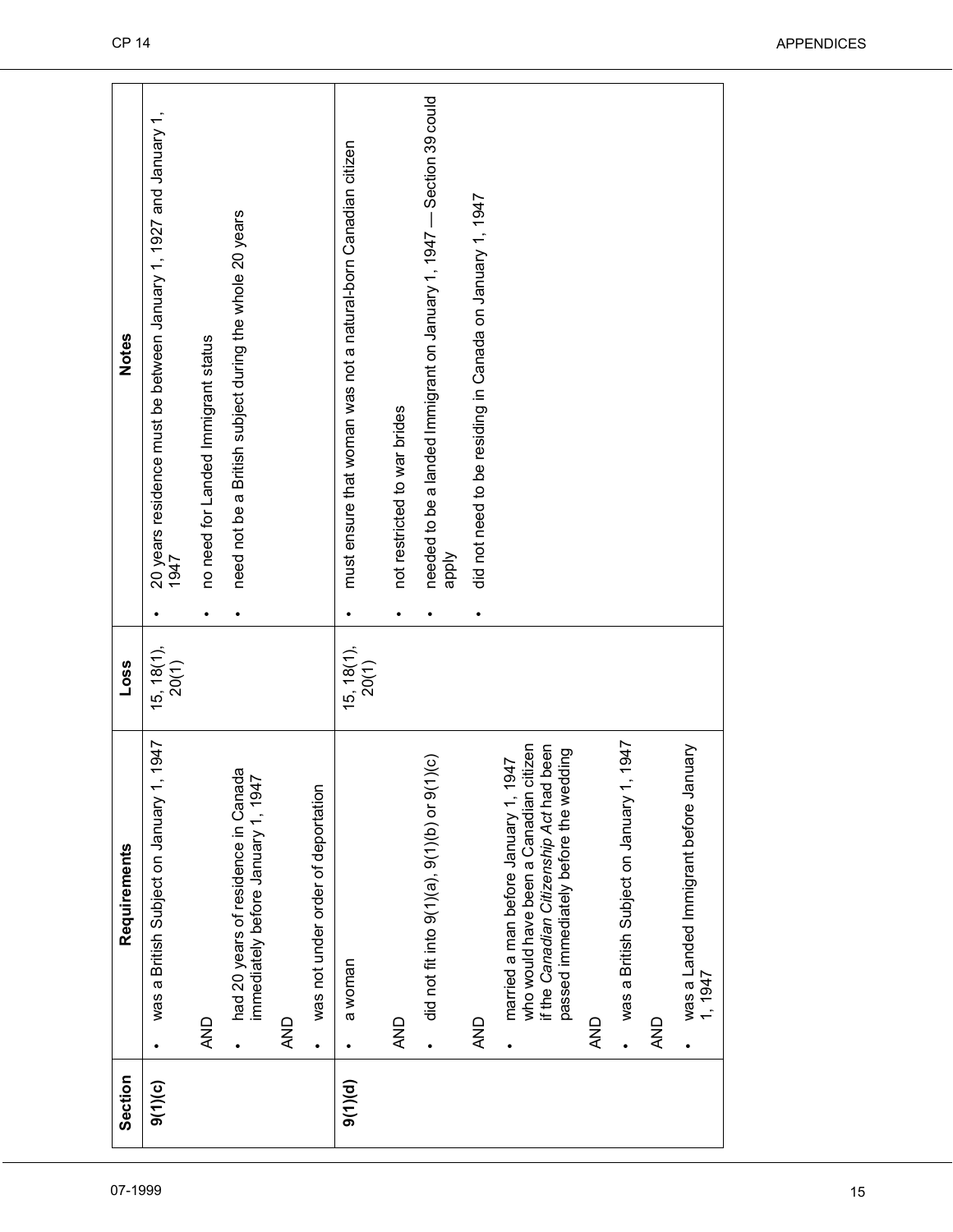| 07-1999 | Section | Requirements                                                                                                                                                        | Loss                    |           | <b>Notes</b>                                                                  |
|---------|---------|---------------------------------------------------------------------------------------------------------------------------------------------------------------------|-------------------------|-----------|-------------------------------------------------------------------------------|
|         | 9(1)(c) | 1947<br>was a British Subject on January 1                                                                                                                          | $15, 18(1),$<br>$20(1)$ |           | 20 years residence must be between January 1, 1927 and January 1,<br>1947     |
|         |         | <b>AND</b>                                                                                                                                                          |                         |           | no need for Landed Immigrant status                                           |
|         |         | had 20 years of residence in Canada<br>immediately before January 1, 1947                                                                                           |                         |           | need not be a British subject during the whole 20 years                       |
|         |         | AND                                                                                                                                                                 |                         |           |                                                                               |
|         |         | was not under order of deportation<br>$\bullet$                                                                                                                     |                         |           |                                                                               |
|         | 9(1)(d) | a woman<br>$\bullet$                                                                                                                                                | $15, 18(1),$<br>$20(1)$ | $\bullet$ | must ensure that woman was not a natural-born Canadian citizen                |
|         |         | <b>AND</b>                                                                                                                                                          |                         | $\bullet$ | not restricted to war brides                                                  |
|         |         | $\overline{)}$ (c)<br>did not fit into $9(1)(0, 0)(1)$ or $9(1)$<br>$\bullet$                                                                                       |                         |           | needed to be a landed Immigrant on January 1, 1947 - Section 39 could<br>ddde |
|         |         | AND                                                                                                                                                                 |                         | $\bullet$ | did not need to be residing in Canada on January 1, 1947                      |
|         |         | who would have been a Canadian citizen<br>if the Canadian Citizenship Act had been<br>passed immediately before the wedding<br>married a man before January 1, 1947 |                         |           |                                                                               |
|         |         | AND                                                                                                                                                                 |                         |           |                                                                               |
|         |         | 1947<br>was a British Subject on January 1                                                                                                                          |                         |           |                                                                               |
|         |         | QND                                                                                                                                                                 |                         |           |                                                                               |
|         |         | was a Landed Immigrant before January<br>1, 1947                                                                                                                    |                         |           |                                                                               |
|         |         |                                                                                                                                                                     |                         |           |                                                                               |
| 15      |         |                                                                                                                                                                     |                         |           |                                                                               |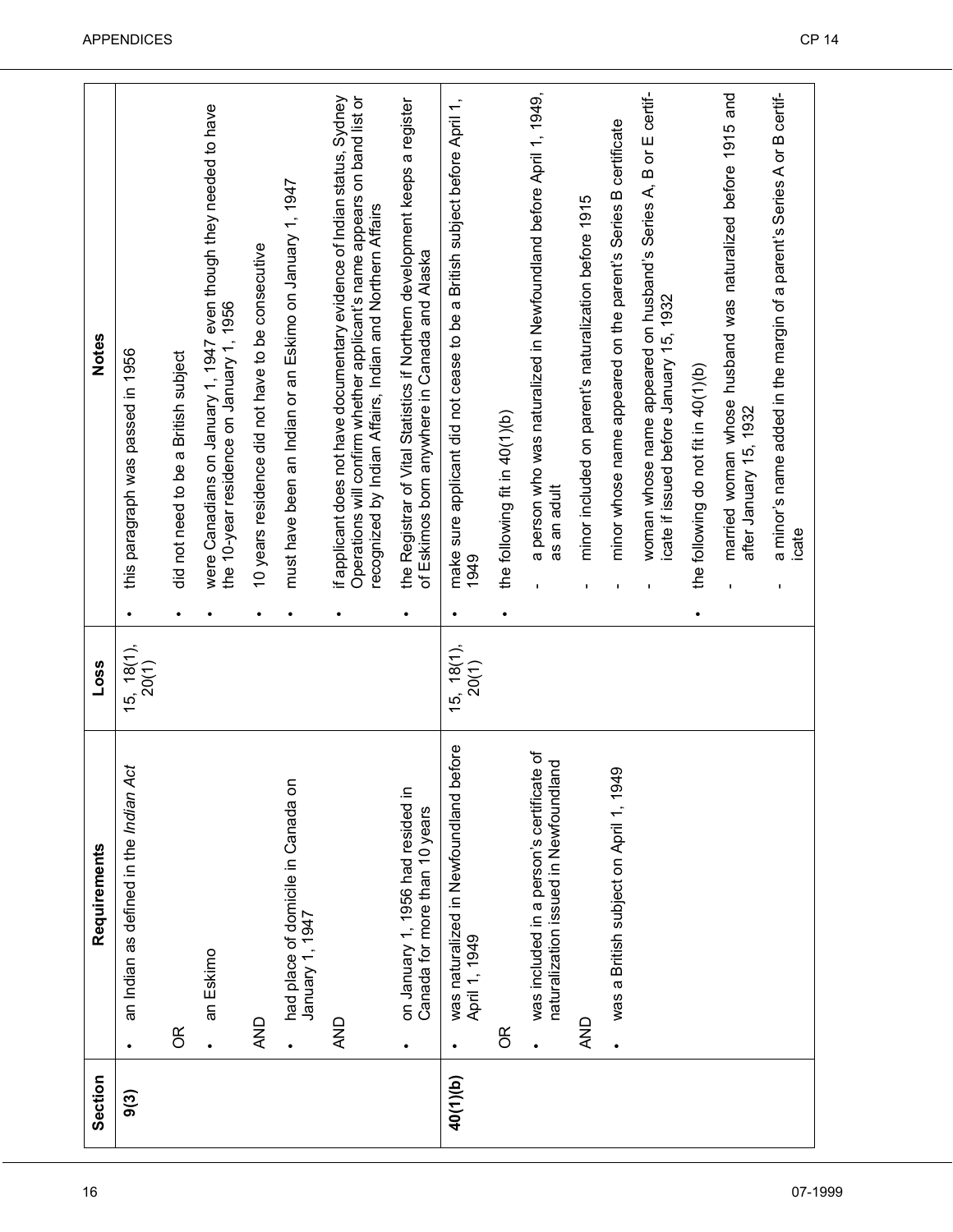| an Eskimo<br><b>AND</b><br>$\frac{R}{C}$<br>$\bullet$<br>9(3) | an Indian as defined in the Indian Act                                             | $(15, 18(1),$<br>$20(1)$ |                                                                                                                                                                                                                   |
|---------------------------------------------------------------|------------------------------------------------------------------------------------|--------------------------|-------------------------------------------------------------------------------------------------------------------------------------------------------------------------------------------------------------------|
|                                                               |                                                                                    |                          | this paragraph was passed in 1956                                                                                                                                                                                 |
|                                                               |                                                                                    |                          | did not need to be a British subject                                                                                                                                                                              |
|                                                               |                                                                                    |                          | were Canadians on January 1, 1947 even though they needed to have<br>the 10-year residence on January 1, 1956                                                                                                     |
|                                                               |                                                                                    |                          | 10 years residence did not have to be consecutive                                                                                                                                                                 |
|                                                               | had place of domicile in Canada on<br>January 1, 1947                              |                          | must have been an Indian or an Eskimo on January 1, 1947                                                                                                                                                          |
| <b>AND</b>                                                    |                                                                                    |                          | if applicant does not have documentary evidence of Indian status, Sydney<br>Operations will confirm whether applicant's name appears on band list or<br>recognized by Indian Affairs, Indian and Northern Affairs |
| ٠                                                             | on January 1, 1956 had resided in<br>Canada for more than 10 years                 |                          | the Registrar of Vital Statistics if Northern development keeps a register<br>of Eskimos born anywhere in Canada and Alaska                                                                                       |
| April 1, 1949<br>٠<br>40(1)(b)                                | efore<br>was naturalized in Newfoundland b                                         | $15, 18(1)$ ,<br>20(1)   | make sure applicant did not cease to be a British subject before April 1,<br>1949                                                                                                                                 |
| g                                                             |                                                                                    |                          | the following fit in 40(1)(b)                                                                                                                                                                                     |
|                                                               | was included in a person's certificate of<br>naturalization issued in Newfoundland |                          | a person who was naturalized in Newfoundland before April 1, 1949,<br>as an adult                                                                                                                                 |
| AND                                                           |                                                                                    |                          | minor included on parent's naturalization before 1915                                                                                                                                                             |
|                                                               | was a British subject on April 1, 1949                                             |                          | minor whose name appeared on the parent's Series B certificate                                                                                                                                                    |
|                                                               |                                                                                    |                          | woman whose name appeared on husband's Series A, B or E certif-<br>icate if issued before January 15, 1932                                                                                                        |
|                                                               |                                                                                    |                          | the following do not fit in 40(1)(b)                                                                                                                                                                              |
|                                                               |                                                                                    |                          | married woman whose husband was naturalized before 1915 and<br>after January 15, 1932                                                                                                                             |
|                                                               |                                                                                    |                          | a minor's name added in the margin of a parent's Series A or B certif-<br>icate                                                                                                                                   |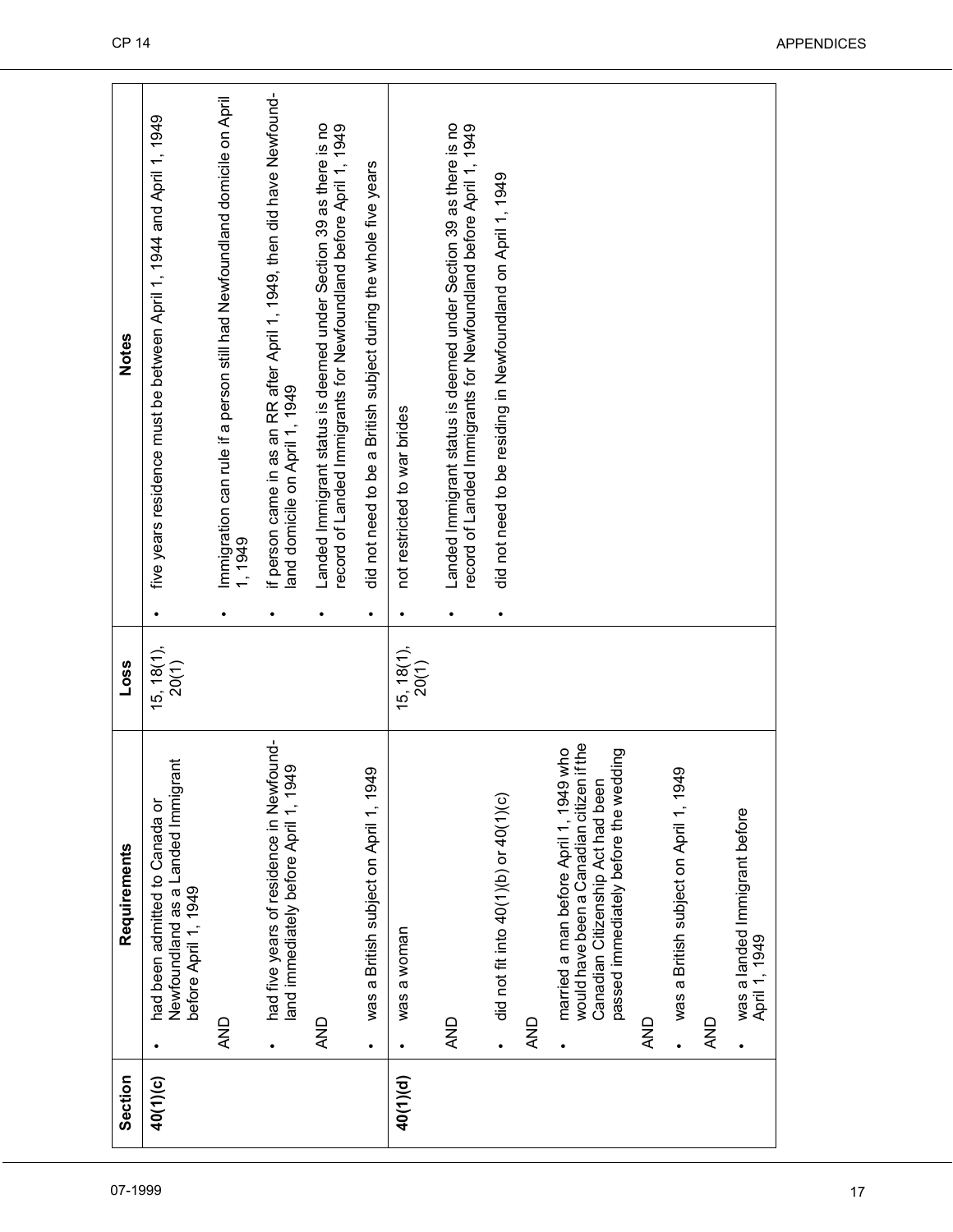| did not need to be a British subject during the whole five years<br>did not need to be residing in Newfoundland on April 1, 1949<br>land domicile on April 1, 1949<br>not restricted to war brides<br>1, 1949<br>٠<br>$\bullet$<br>$\bullet$<br>$15, 18(1),$<br>$20(1)$<br>$15, 18(1),$<br>$20(1)$<br>had five years of residence in Newfound-<br>would have been a Canadian citizen if the<br>married a man before April 1, 1949 who<br>passed immediately before the wedding<br>Newfoundland as a Landed Immigrant<br>land immediately before April 1, 1949<br>was a British subject on April 1, 1949<br>was a British subject on April 1, 1949<br>Canadian Citizenship Act had been<br>did not fit into 40(1)(b) or 40(1)(c)<br>had been admitted to Canada or<br>was a landed Immigrant before<br>before April 1, 1949<br>was a woman<br>April 1, 1949<br><b>AND</b><br><b>AND</b><br><b>AND</b><br><b>AND</b><br>QNA<br>QNQ<br>$\bullet$<br>40(1)(d)<br>40(1)(c) |  |  |                                                                                                                                        |
|-----------------------------------------------------------------------------------------------------------------------------------------------------------------------------------------------------------------------------------------------------------------------------------------------------------------------------------------------------------------------------------------------------------------------------------------------------------------------------------------------------------------------------------------------------------------------------------------------------------------------------------------------------------------------------------------------------------------------------------------------------------------------------------------------------------------------------------------------------------------------------------------------------------------------------------------------------------------------|--|--|----------------------------------------------------------------------------------------------------------------------------------------|
|                                                                                                                                                                                                                                                                                                                                                                                                                                                                                                                                                                                                                                                                                                                                                                                                                                                                                                                                                                       |  |  | five years residence must be between April 1, 1944 and April 1, 1949                                                                   |
|                                                                                                                                                                                                                                                                                                                                                                                                                                                                                                                                                                                                                                                                                                                                                                                                                                                                                                                                                                       |  |  | Immigration can rule if a person still had Newfoundland domicile on April                                                              |
|                                                                                                                                                                                                                                                                                                                                                                                                                                                                                                                                                                                                                                                                                                                                                                                                                                                                                                                                                                       |  |  | if person came in as an RR after April 1, 1949, then did have Newfound-                                                                |
|                                                                                                                                                                                                                                                                                                                                                                                                                                                                                                                                                                                                                                                                                                                                                                                                                                                                                                                                                                       |  |  | Landed Immigrant status is deemed under Section 39 as there is no<br>record of Landed Immigrants for Newfoundland before April 1, 1949 |
|                                                                                                                                                                                                                                                                                                                                                                                                                                                                                                                                                                                                                                                                                                                                                                                                                                                                                                                                                                       |  |  |                                                                                                                                        |
|                                                                                                                                                                                                                                                                                                                                                                                                                                                                                                                                                                                                                                                                                                                                                                                                                                                                                                                                                                       |  |  |                                                                                                                                        |
|                                                                                                                                                                                                                                                                                                                                                                                                                                                                                                                                                                                                                                                                                                                                                                                                                                                                                                                                                                       |  |  | Landed Immigrant status is deemed under Section 39 as there is no<br>record of Landed Immigrants for Newfoundland before April 1, 1949 |
|                                                                                                                                                                                                                                                                                                                                                                                                                                                                                                                                                                                                                                                                                                                                                                                                                                                                                                                                                                       |  |  |                                                                                                                                        |
|                                                                                                                                                                                                                                                                                                                                                                                                                                                                                                                                                                                                                                                                                                                                                                                                                                                                                                                                                                       |  |  |                                                                                                                                        |
|                                                                                                                                                                                                                                                                                                                                                                                                                                                                                                                                                                                                                                                                                                                                                                                                                                                                                                                                                                       |  |  |                                                                                                                                        |
|                                                                                                                                                                                                                                                                                                                                                                                                                                                                                                                                                                                                                                                                                                                                                                                                                                                                                                                                                                       |  |  |                                                                                                                                        |
|                                                                                                                                                                                                                                                                                                                                                                                                                                                                                                                                                                                                                                                                                                                                                                                                                                                                                                                                                                       |  |  |                                                                                                                                        |
|                                                                                                                                                                                                                                                                                                                                                                                                                                                                                                                                                                                                                                                                                                                                                                                                                                                                                                                                                                       |  |  |                                                                                                                                        |
|                                                                                                                                                                                                                                                                                                                                                                                                                                                                                                                                                                                                                                                                                                                                                                                                                                                                                                                                                                       |  |  |                                                                                                                                        |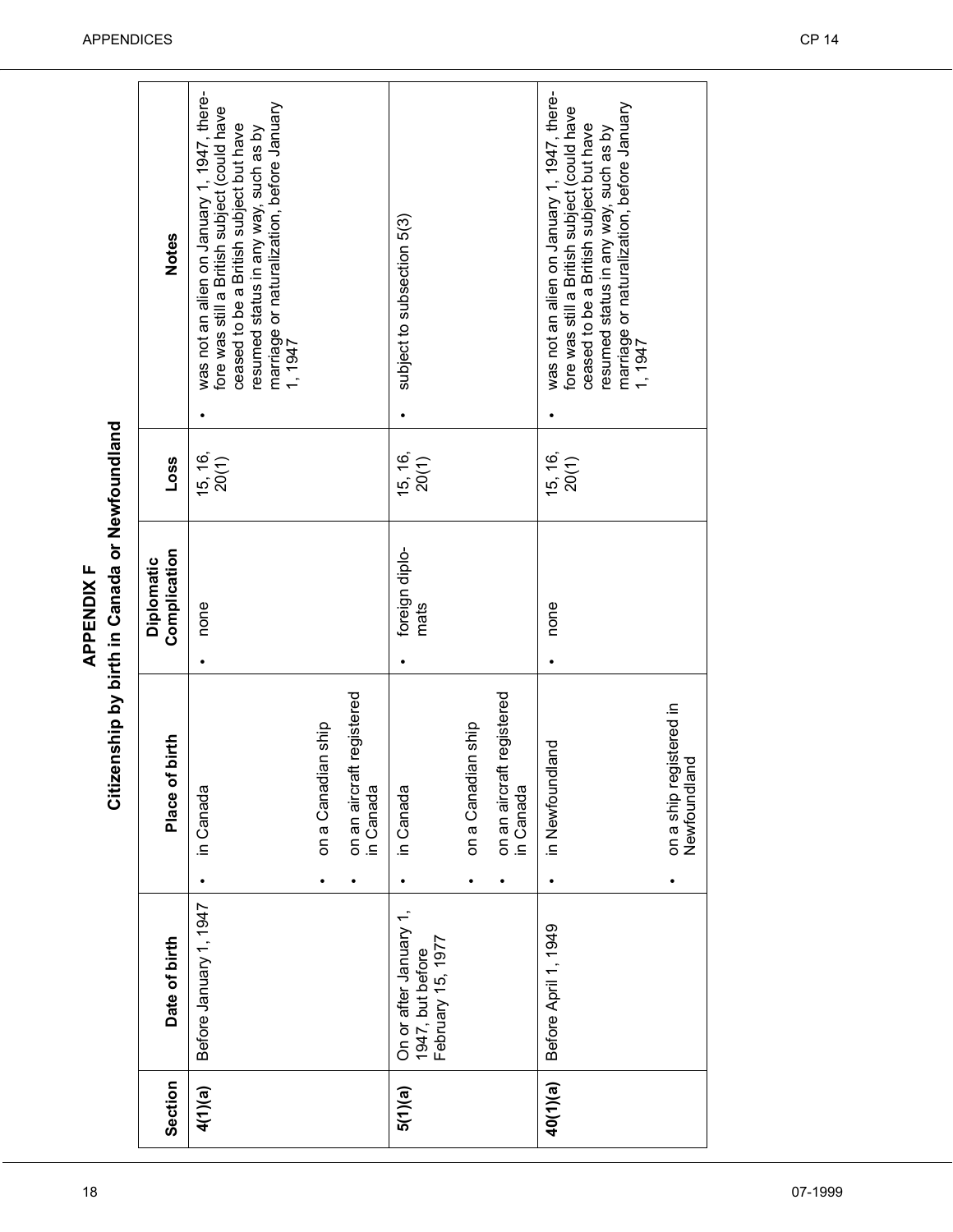|                                                | <b>Notes</b>               | was not an alien on January 1, 1947, there-<br>marriage or naturalization, before January<br>fore was still a British subject (could have<br>ceased to be a British subject but have<br>resumed status in any way, such as by<br>1, 1947 |                    |                                             | subject to subsection 5(3)                                      |                         |                                             | was not an alien on January 1, 1947, there-<br>marriage or naturalization, before January<br>1, 1947<br>fore was still a British subject (could have<br>ceased to be a British subject but have<br>resumed status in any way, such as by |                                             |
|------------------------------------------------|----------------------------|------------------------------------------------------------------------------------------------------------------------------------------------------------------------------------------------------------------------------------------|--------------------|---------------------------------------------|-----------------------------------------------------------------|-------------------------|---------------------------------------------|------------------------------------------------------------------------------------------------------------------------------------------------------------------------------------------------------------------------------------------|---------------------------------------------|
|                                                | Loss                       | $15, 16,$<br>$20(1)$                                                                                                                                                                                                                     |                    |                                             | 15, 16,<br>20(1)                                                |                         |                                             | 15, 16,<br>20(1)                                                                                                                                                                                                                         |                                             |
| Citizenship by birth in Canada or Newfoundland | Complication<br>Diplomatic | none                                                                                                                                                                                                                                     |                    |                                             | foreign diplo-<br>mats                                          |                         |                                             | none                                                                                                                                                                                                                                     |                                             |
|                                                | Place of birth             | in Canada                                                                                                                                                                                                                                | on a Canadian ship | aft registered<br>on an aircra<br>in Canada | in Canada                                                       | on a Canadian ship<br>٠ | on an aircraft registered<br>in Canada<br>٠ | in Newfoundland                                                                                                                                                                                                                          | on a ship registered in<br>land<br>Newfound |
|                                                | Date of birth              | Before January 1, 1947                                                                                                                                                                                                                   |                    |                                             | On or after January 1,<br>February 15, 1977<br>1947, but before |                         |                                             | Before April 1, 1949                                                                                                                                                                                                                     |                                             |
|                                                | Section                    | 4(1)(a)                                                                                                                                                                                                                                  |                    |                                             | 5(1)(a)                                                         |                         |                                             | 40(1)(a)                                                                                                                                                                                                                                 |                                             |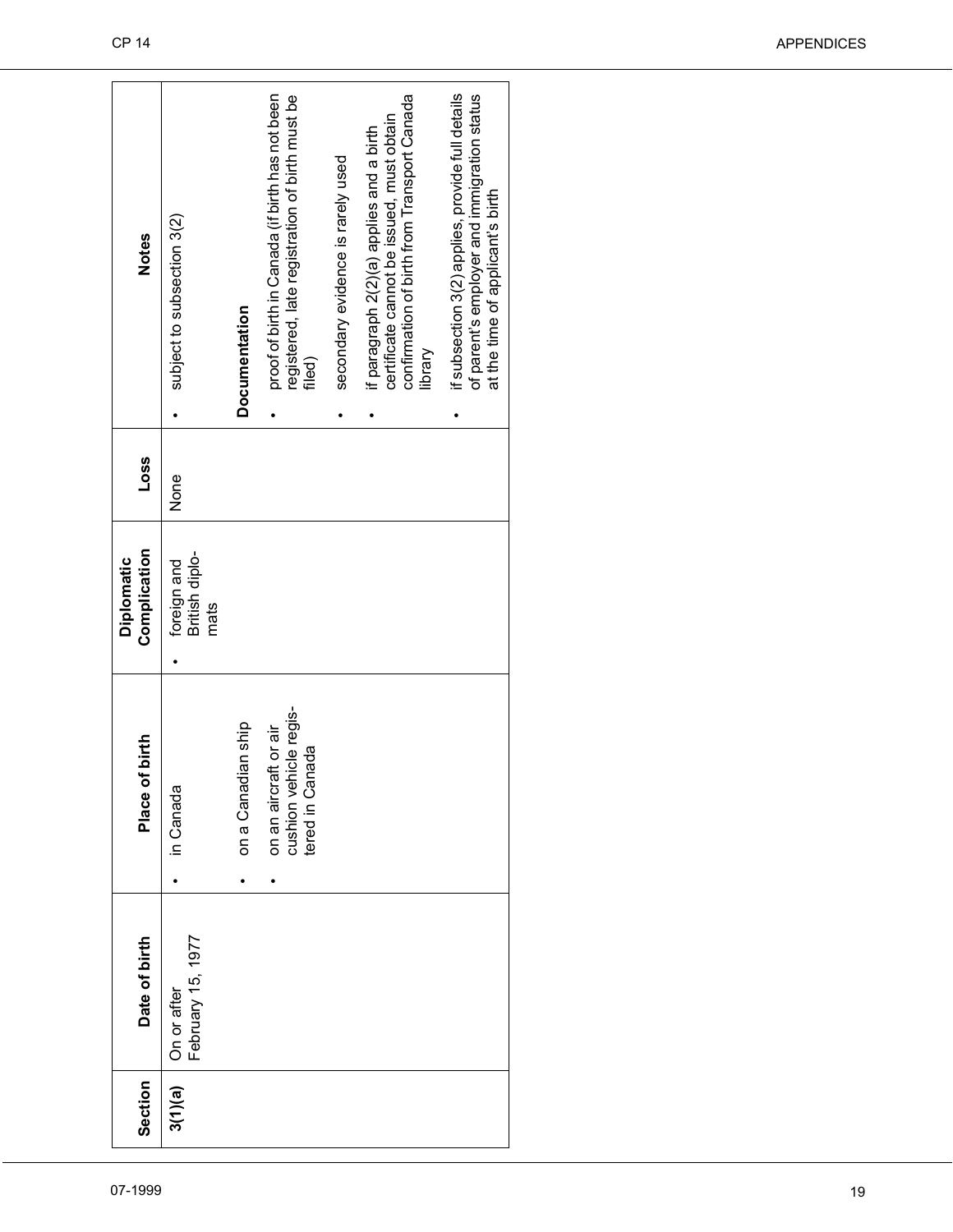| 07-1999 | Section | Date of birth                    | Place of birth                                                                  | Complication<br>Diplomatic                         | Loss | <b>Notes</b>                                                                                                                                                 |
|---------|---------|----------------------------------|---------------------------------------------------------------------------------|----------------------------------------------------|------|--------------------------------------------------------------------------------------------------------------------------------------------------------------|
|         | 3(1)(a) | On or after<br>February 15, 1977 | in Canada<br>$\bullet$                                                          | British diplo-<br>foreign and<br>mats<br>$\bullet$ | None | subject to subsection 3(2)<br>$\bullet$                                                                                                                      |
|         |         |                                  | on a Canadian ship<br>$\bullet$                                                 |                                                    |      | Documentation                                                                                                                                                |
|         |         |                                  | cushion vehicle regis-<br>on an aircraft or air<br>tered in Canada<br>$\bullet$ |                                                    |      | proof of birth in Canada (if birth has not been<br>registered, late registration of birth must be<br>filed)<br>$\bullet$                                     |
|         |         |                                  |                                                                                 |                                                    |      | secondary evidence is rarely used<br>$\bullet$                                                                                                               |
|         |         |                                  |                                                                                 |                                                    |      | confirmation of birth from Transport Canada<br>certificate cannot be issued, must obtain<br>if paragraph 2(2)(a) applies and a birth<br>library<br>$\bullet$ |
|         |         |                                  |                                                                                 |                                                    |      | if subsection 3(2) applies, provide full details<br>of parent's employer and immigration status<br>at the time of applicant's birth<br>$\bullet$             |
|         |         |                                  |                                                                                 |                                                    |      |                                                                                                                                                              |
|         |         |                                  |                                                                                 |                                                    |      |                                                                                                                                                              |
|         |         |                                  |                                                                                 |                                                    |      |                                                                                                                                                              |
|         |         |                                  |                                                                                 |                                                    |      |                                                                                                                                                              |
|         |         |                                  |                                                                                 |                                                    |      |                                                                                                                                                              |
|         |         |                                  |                                                                                 |                                                    |      |                                                                                                                                                              |
|         |         |                                  |                                                                                 |                                                    |      |                                                                                                                                                              |
|         |         |                                  |                                                                                 |                                                    |      |                                                                                                                                                              |
| 19      |         |                                  |                                                                                 |                                                    |      |                                                                                                                                                              |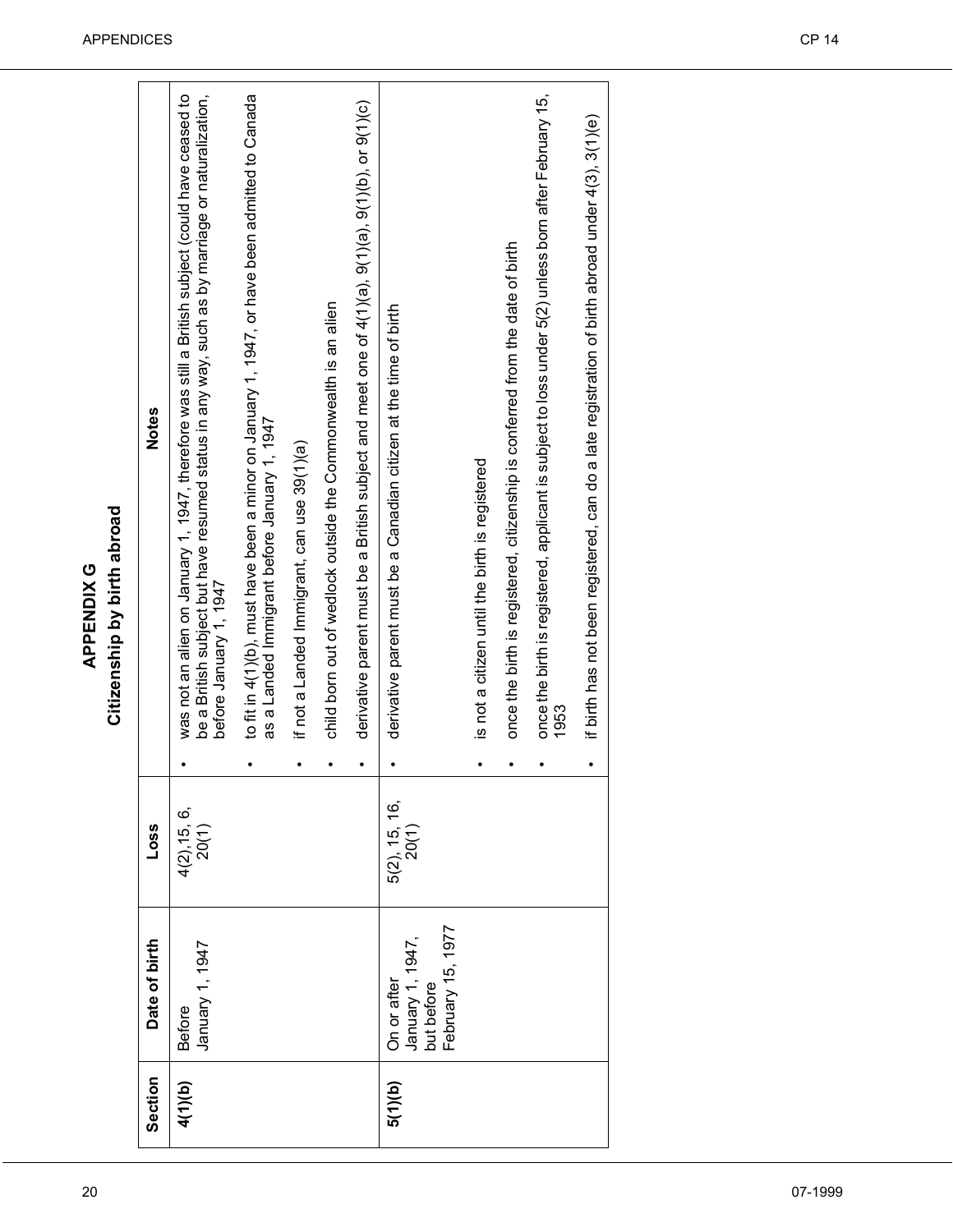| Section | Date of birth                                                      | Loss                      | <b>Notes</b>                                                                                                                                                                                                                  |
|---------|--------------------------------------------------------------------|---------------------------|-------------------------------------------------------------------------------------------------------------------------------------------------------------------------------------------------------------------------------|
| 4(1)(b) | January 1, 1947<br><b>Before</b>                                   | $4(2), 15, 6,$<br>$20(1)$ | was not an alien on January 1, 1947, therefore was still a British subject (could have ceased to<br>be a British subject but have resumed status in any way, such as by marriage or naturalization,<br>before January 1, 1947 |
|         |                                                                    |                           | to fit in 4(1)(b), must have been a minor on January 1, 1947, or have been admitted to Canada<br>as a Landed Immigrant before January 1, 1947                                                                                 |
|         |                                                                    |                           | if not a Landed Immigrant, can use 39(1)(a)                                                                                                                                                                                   |
|         |                                                                    |                           | child born out of wedlock outside the Commonwealth is an alien                                                                                                                                                                |
|         |                                                                    |                           | derivative parent must be a British subject and meet one of 4(7)(a), 9(7)(b), or 9(7)(c)                                                                                                                                      |
| 5(1)(b) | February 15, 1977<br>January 1, 1947,<br>but before<br>On or after | $5(2)$ , 15, 16, $20(1)$  | derivative parent must be a Canadian citizen at the time of birth                                                                                                                                                             |
|         |                                                                    |                           | is not a citizen until the birth is registered                                                                                                                                                                                |
|         |                                                                    |                           | once the birth is registered, citizenship is conferred from the date of birth                                                                                                                                                 |
|         |                                                                    |                           | once the birth is registered, applicant is subject to loss under 5(2) unless born after February 15,<br>1953                                                                                                                  |
|         |                                                                    |                           | if birth has not been registered, can do a late registration of birth abroad under 4(3), 3(1)(e)                                                                                                                              |
|         |                                                                    |                           |                                                                                                                                                                                                                               |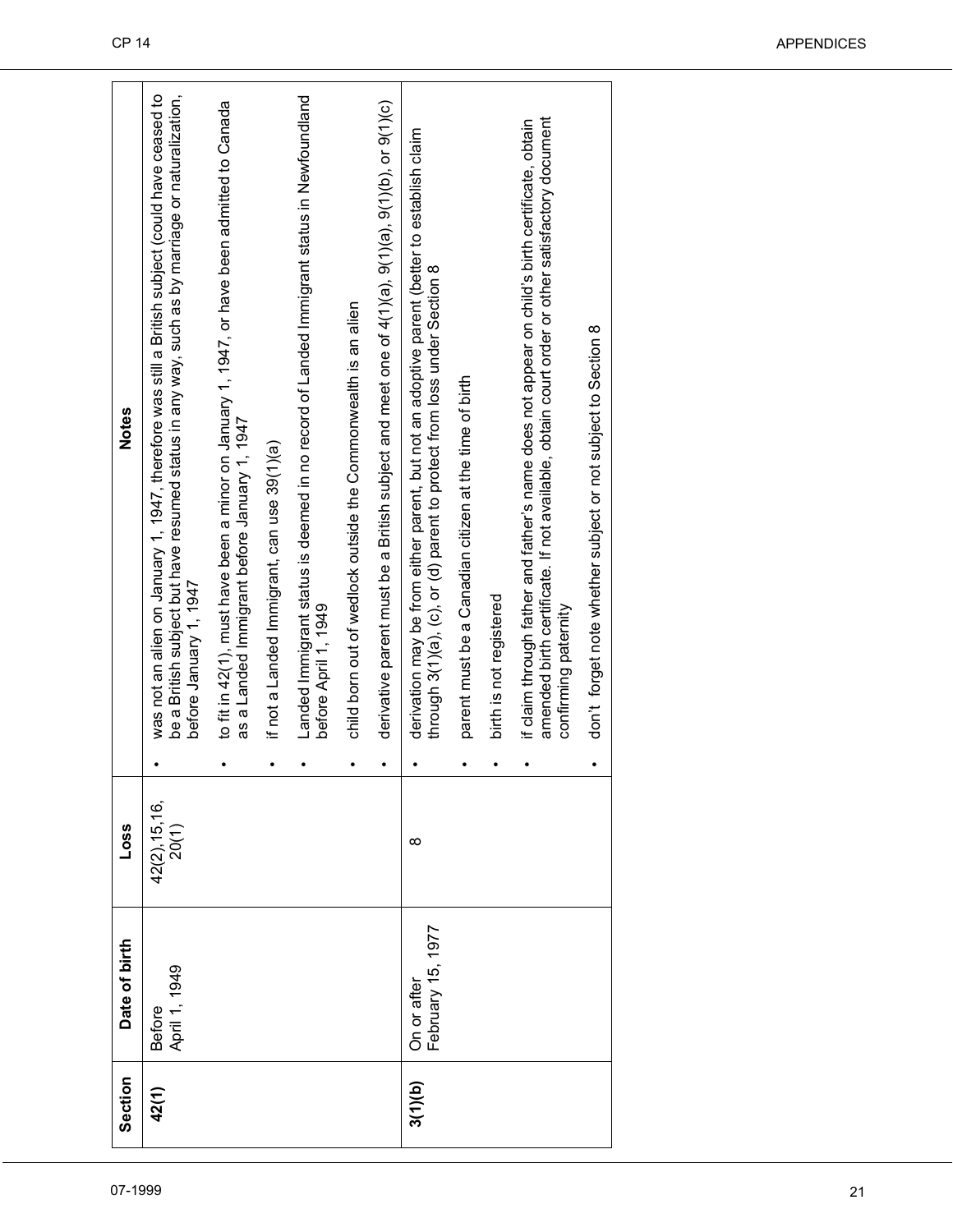| Notes              | was not an alien on January 1, 1947, therefore was still a British subject (could have ceased to<br>be a British subject but have resumed status in any way, such as by marriage or naturalization, | to fit in 42(1), must have been a minor on January 1, 1947, or have been admitted to Canada |                                             | Landed Immigrant status is deemed in no record of Landed Immigrant status in Newfoundland |                                                                | derivative parent must be a British subject and meet one of $4(1)(a)$ , $9(1)(a)$ , $9(1)(b)$ , or $9(1)(c)$ |                                                                                                                                                                         |                                                        |                         | amended birth certificate. If not available, obtain court order or other satisfactory document<br>if claim through father and father's name does not appear on child's birth certificate, obtain |                                                               |  |
|--------------------|-----------------------------------------------------------------------------------------------------------------------------------------------------------------------------------------------------|---------------------------------------------------------------------------------------------|---------------------------------------------|-------------------------------------------------------------------------------------------|----------------------------------------------------------------|--------------------------------------------------------------------------------------------------------------|-------------------------------------------------------------------------------------------------------------------------------------------------------------------------|--------------------------------------------------------|-------------------------|--------------------------------------------------------------------------------------------------------------------------------------------------------------------------------------------------|---------------------------------------------------------------|--|
|                    | before January 1, 1947                                                                                                                                                                              | as a Landed Immigrant before January 1, 1947                                                | if not a Landed Immigrant, can use 39(1)(a) | before April 1, 1949                                                                      | child born out of wedlock outside the Commonwealth is an alien |                                                                                                              | derivation may be from either parent, but not an adoptive parent (better to establish claim<br>through 3(1)(a), (c), or (d) parent to protect from loss under Section 8 | parent must be a Canadian citizen at the time of birth | birth is not registered | confirming paternity                                                                                                                                                                             | don't forget note whether subject or not subject to Section 8 |  |
| Loss               | $42(2), 15, 16,$<br>$20(1)$                                                                                                                                                                         |                                                                                             |                                             |                                                                                           |                                                                | $\bullet$                                                                                                    | $\infty$                                                                                                                                                                |                                                        |                         |                                                                                                                                                                                                  | $\bullet$                                                     |  |
| Date of birth      | April 1, 1949<br><b>Before</b>                                                                                                                                                                      |                                                                                             |                                             |                                                                                           |                                                                |                                                                                                              | February 15, 1977<br>On or after                                                                                                                                        |                                                        |                         |                                                                                                                                                                                                  |                                                               |  |
| Section<br>07-1999 | 42(1)                                                                                                                                                                                               |                                                                                             |                                             |                                                                                           |                                                                |                                                                                                              | 3(1)(b)                                                                                                                                                                 |                                                        |                         |                                                                                                                                                                                                  |                                                               |  |